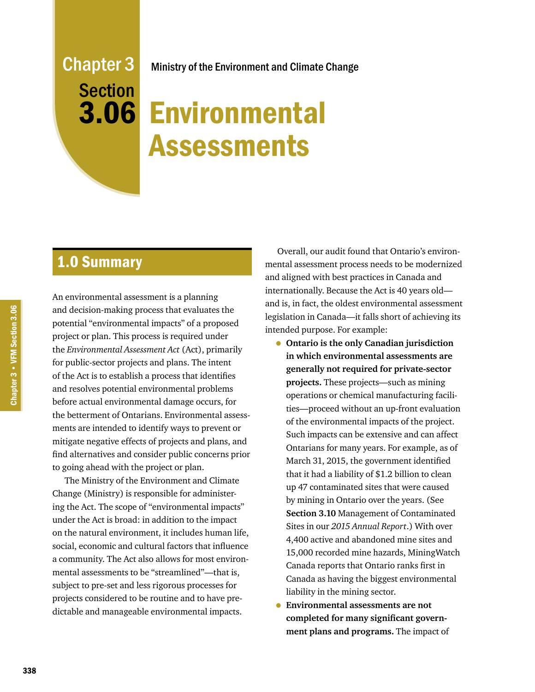# Ministry of the Environment and Climate Change

# Chapter 3 **Section**

# Environmental 3.06 Assessments

# 1.0 Summary

An environmental assessment is a planning and decision-making process that evaluates the potential "environmental impacts" of a proposed project or plan. This process is required under the *Environmental Assessment Act* (Act), primarily for public-sector projects and plans. The intent of the Act is to establish a process that identifies and resolves potential environmental problems before actual environmental damage occurs, for the betterment of Ontarians. Environmental assessments are intended to identify ways to prevent or mitigate negative effects of projects and plans, and find alternatives and consider public concerns prior to going ahead with the project or plan.

The Ministry of the Environment and Climate Change (Ministry) is responsible for administering the Act. The scope of "environmental impacts" under the Act is broad: in addition to the impact on the natural environment, it includes human life, social, economic and cultural factors that influence a community. The Act also allows for most environmental assessments to be "streamlined"—that is, subject to pre-set and less rigorous processes for projects considered to be routine and to have predictable and manageable environmental impacts.

Overall, our audit found that Ontario's environmental assessment process needs to be modernized and aligned with best practices in Canada and internationally. Because the Act is 40 years old and is, in fact, the oldest environmental assessment legislation in Canada—it falls short of achieving its intended purpose. For example:

- **Ontario is the only Canadian jurisdiction in which environmental assessments are generally not required for private-sector projects.** These projects—such as mining operations or chemical manufacturing facilities—proceed without an up-front evaluation of the environmental impacts of the project. Such impacts can be extensive and can affect Ontarians for many years. For example, as of March 31, 2015, the government identified that it had a liability of \$1.2 billion to clean up 47 contaminated sites that were caused by mining in Ontario over the years. (See **Section 3.10** Management of Contaminated Sites in our *2015 Annual Report*.) With over 4,400 active and abandoned mine sites and 15,000 recorded mine hazards, MiningWatch Canada reports that Ontario ranks first in Canada as having the biggest environmental liability in the mining sector.
- **Environmental assessments are not completed for many significant government plans and programs.** The impact of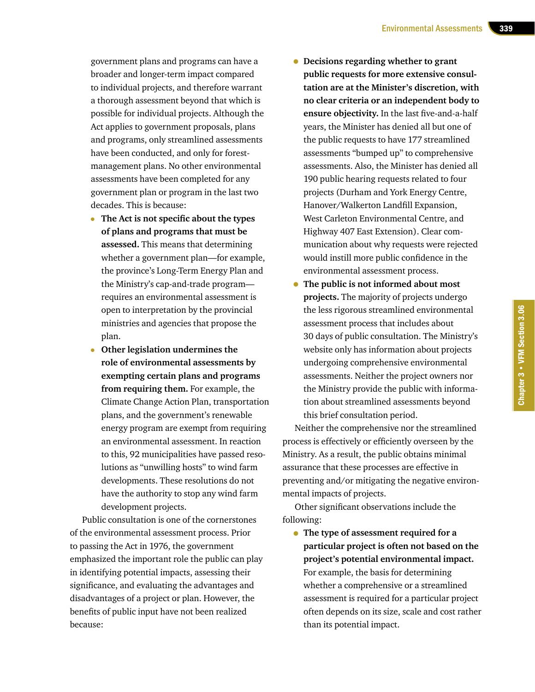government plans and programs can have a broader and longer-term impact compared to individual projects, and therefore warrant a thorough assessment beyond that which is possible for individual projects. Although the Act applies to government proposals, plans and programs, only streamlined assessments have been conducted, and only for forestmanagement plans. No other environmental assessments have been completed for any government plan or program in the last two decades. This is because:

- **The Act is not specific about the types of plans and programs that must be assessed.** This means that determining whether a government plan—for example, the province's Long-Term Energy Plan and the Ministry's cap-and-trade program requires an environmental assessment is open to interpretation by the provincial ministries and agencies that propose the plan.
- **Other legislation undermines the role of environmental assessments by exempting certain plans and programs from requiring them.** For example, the Climate Change Action Plan, transportation plans, and the government's renewable energy program are exempt from requiring an environmental assessment. In reaction to this, 92 municipalities have passed resolutions as "unwilling hosts" to wind farm developments. These resolutions do not have the authority to stop any wind farm development projects.

Public consultation is one of the cornerstones of the environmental assessment process. Prior to passing the Act in 1976, the government emphasized the important role the public can play in identifying potential impacts, assessing their significance, and evaluating the advantages and disadvantages of a project or plan. However, the benefits of public input have not been realized because:

- **Decisions regarding whether to grant public requests for more extensive consultation are at the Minister's discretion, with no clear criteria or an independent body to ensure objectivity.** In the last five-and-a-half years, the Minister has denied all but one of the public requests to have 177 streamlined assessments "bumped up" to comprehensive assessments. Also, the Minister has denied all 190 public hearing requests related to four projects (Durham and York Energy Centre, Hanover/Walkerton Landfill Expansion, West Carleton Environmental Centre, and Highway 407 East Extension). Clear communication about why requests were rejected would instill more public confidence in the environmental assessment process.
- **The public is not informed about most projects.** The majority of projects undergo the less rigorous streamlined environmental assessment process that includes about 30 days of public consultation. The Ministry's website only has information about projects undergoing comprehensive environmental assessments. Neither the project owners nor the Ministry provide the public with information about streamlined assessments beyond this brief consultation period.

Neither the comprehensive nor the streamlined process is effectively or efficiently overseen by the Ministry. As a result, the public obtains minimal assurance that these processes are effective in preventing and/or mitigating the negative environmental impacts of projects.

Other significant observations include the following:

• **The type of assessment required for a particular project is often not based on the project's potential environmental impact.** For example, the basis for determining whether a comprehensive or a streamlined assessment is required for a particular project often depends on its size, scale and cost rather than its potential impact.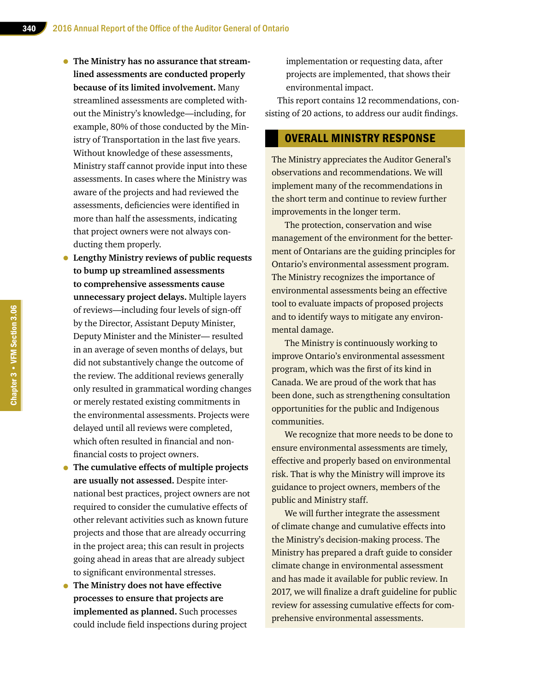- **The Ministry has no assurance that streamlined assessments are conducted properly because of its limited involvement.** Many streamlined assessments are completed without the Ministry's knowledge—including, for example, 80% of those conducted by the Ministry of Transportation in the last five years. Without knowledge of these assessments, Ministry staff cannot provide input into these assessments. In cases where the Ministry was aware of the projects and had reviewed the assessments, deficiencies were identified in more than half the assessments, indicating that project owners were not always conducting them properly.
- **Lengthy Ministry reviews of public requests to bump up streamlined assessments to comprehensive assessments cause unnecessary project delays.** Multiple layers of reviews—including four levels of sign-off by the Director, Assistant Deputy Minister, Deputy Minister and the Minister— resulted in an average of seven months of delays, but did not substantively change the outcome of the review. The additional reviews generally only resulted in grammatical wording changes or merely restated existing commitments in the environmental assessments. Projects were delayed until all reviews were completed, which often resulted in financial and nonfinancial costs to project owners.
- **The cumulative effects of multiple projects are usually not assessed.** Despite international best practices, project owners are not required to consider the cumulative effects of other relevant activities such as known future projects and those that are already occurring in the project area; this can result in projects going ahead in areas that are already subject to significant environmental stresses.
- **The Ministry does not have effective processes to ensure that projects are implemented as planned.** Such processes could include field inspections during project

implementation or requesting data, after projects are implemented, that shows their environmental impact.

This report contains 12 recommendations, consisting of 20 actions, to address our audit findings.

#### OVERALL MINISTRY RESPONSE

The Ministry appreciates the Auditor General's observations and recommendations. We will implement many of the recommendations in the short term and continue to review further improvements in the longer term.

The protection, conservation and wise management of the environment for the betterment of Ontarians are the guiding principles for Ontario's environmental assessment program. The Ministry recognizes the importance of environmental assessments being an effective tool to evaluate impacts of proposed projects and to identify ways to mitigate any environmental damage.

The Ministry is continuously working to improve Ontario's environmental assessment program, which was the first of its kind in Canada. We are proud of the work that has been done, such as strengthening consultation opportunities for the public and Indigenous communities.

We recognize that more needs to be done to ensure environmental assessments are timely, effective and properly based on environmental risk. That is why the Ministry will improve its guidance to project owners, members of the public and Ministry staff.

We will further integrate the assessment of climate change and cumulative effects into the Ministry's decision-making process. The Ministry has prepared a draft guide to consider climate change in environmental assessment and has made it available for public review. In 2017, we will finalize a draft guideline for public review for assessing cumulative effects for comprehensive environmental assessments.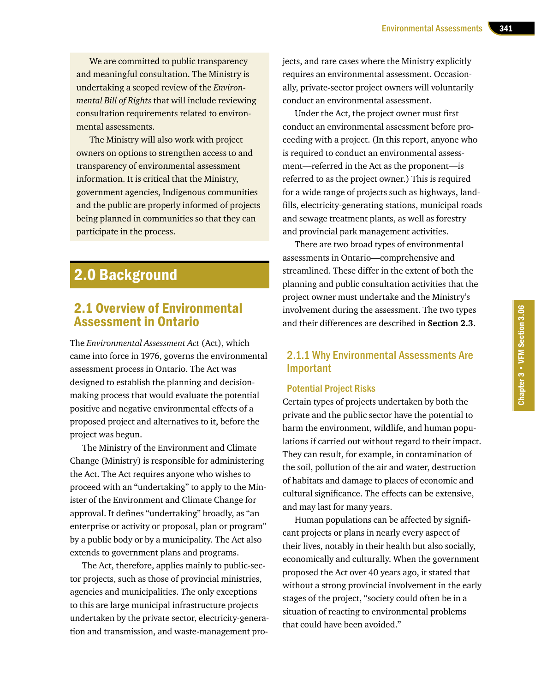We are committed to public transparency and meaningful consultation. The Ministry is undertaking a scoped review of the *Environmental Bill of Rights* that will include reviewing consultation requirements related to environmental assessments.

The Ministry will also work with project owners on options to strengthen access to and transparency of environmental assessment information. It is critical that the Ministry, government agencies, Indigenous communities and the public are properly informed of projects being planned in communities so that they can participate in the process.

# 2.0 Background

# 2.1 Overview of Environmental Assessment in Ontario

The *Environmental Assessment Act* (Act), which came into force in 1976, governs the environmental assessment process in Ontario. The Act was designed to establish the planning and decisionmaking process that would evaluate the potential positive and negative environmental effects of a proposed project and alternatives to it, before the project was begun.

The Ministry of the Environment and Climate Change (Ministry) is responsible for administering the Act. The Act requires anyone who wishes to proceed with an "undertaking" to apply to the Minister of the Environment and Climate Change for approval. It defines "undertaking" broadly, as "an enterprise or activity or proposal, plan or program" by a public body or by a municipality. The Act also extends to government plans and programs.

The Act, therefore, applies mainly to public-sector projects, such as those of provincial ministries, agencies and municipalities. The only exceptions to this are large municipal infrastructure projects undertaken by the private sector, electricity-generation and transmission, and waste-management projects, and rare cases where the Ministry explicitly requires an environmental assessment. Occasionally, private-sector project owners will voluntarily conduct an environmental assessment.

Under the Act, the project owner must first conduct an environmental assessment before proceeding with a project. (In this report, anyone who is required to conduct an environmental assessment—referred in the Act as the proponent—is referred to as the project owner.) This is required for a wide range of projects such as highways, landfills, electricity-generating stations, municipal roads and sewage treatment plants, as well as forestry and provincial park management activities.

There are two broad types of environmental assessments in Ontario—comprehensive and streamlined. These differ in the extent of both the planning and public consultation activities that the project owner must undertake and the Ministry's involvement during the assessment. The two types and their differences are described in **Section 2.3**.

#### 2.1.1 Why Environmental Assessments Are Important

#### Potential Project Risks

Certain types of projects undertaken by both the private and the public sector have the potential to harm the environment, wildlife, and human populations if carried out without regard to their impact. They can result, for example, in contamination of the soil, pollution of the air and water, destruction of habitats and damage to places of economic and cultural significance. The effects can be extensive, and may last for many years.

Human populations can be affected by significant projects or plans in nearly every aspect of their lives, notably in their health but also socially, economically and culturally. When the government proposed the Act over 40 years ago, it stated that without a strong provincial involvement in the early stages of the project, "society could often be in a situation of reacting to environmental problems that could have been avoided."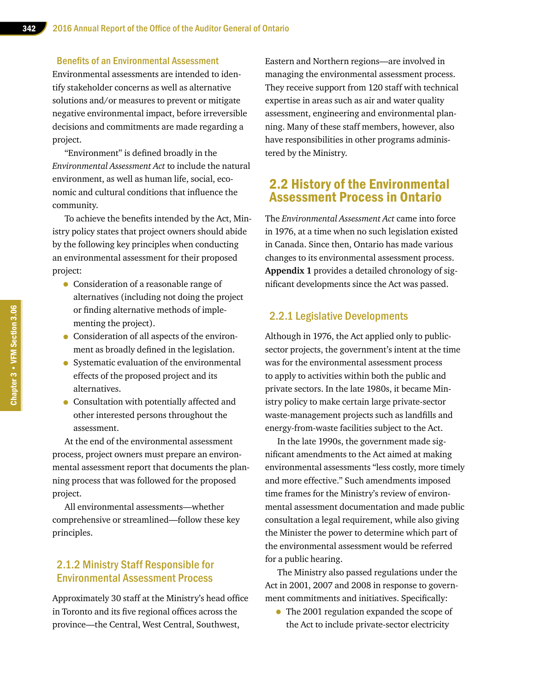Benefits of an Environmental Assessment

Environmental assessments are intended to identify stakeholder concerns as well as alternative solutions and/or measures to prevent or mitigate negative environmental impact, before irreversible decisions and commitments are made regarding a project.

"Environment" is defined broadly in the *Environmental Assessment Act* to include the natural environment, as well as human life, social, economic and cultural conditions that influence the community.

To achieve the benefits intended by the Act, Ministry policy states that project owners should abide by the following key principles when conducting an environmental assessment for their proposed project:

- Consideration of a reasonable range of alternatives (including not doing the project or finding alternative methods of implementing the project).
- Consideration of all aspects of the environment as broadly defined in the legislation.
- Systematic evaluation of the environmental effects of the proposed project and its alternatives.
- Consultation with potentially affected and other interested persons throughout the assessment.

At the end of the environmental assessment process, project owners must prepare an environmental assessment report that documents the planning process that was followed for the proposed project.

All environmental assessments—whether comprehensive or streamlined—follow these key principles.

#### 2.1.2 Ministry Staff Responsible for Environmental Assessment Process

Approximately 30 staff at the Ministry's head office in Toronto and its five regional offices across the province—the Central, West Central, Southwest,

Eastern and Northern regions—are involved in managing the environmental assessment process. They receive support from 120 staff with technical expertise in areas such as air and water quality assessment, engineering and environmental planning. Many of these staff members, however, also have responsibilities in other programs administered by the Ministry.

# 2.2 History of the Environmental Assessment Process in Ontario

The *Environmental Assessment Act* came into force in 1976, at a time when no such legislation existed in Canada. Since then, Ontario has made various changes to its environmental assessment process. **Appendix 1** provides a detailed chronology of significant developments since the Act was passed.

#### 2.2.1 Legislative Developments

Although in 1976, the Act applied only to publicsector projects, the government's intent at the time was for the environmental assessment process to apply to activities within both the public and private sectors. In the late 1980s, it became Ministry policy to make certain large private-sector waste-management projects such as landfills and energy-from-waste facilities subject to the Act.

In the late 1990s, the government made significant amendments to the Act aimed at making environmental assessments "less costly, more timely and more effective." Such amendments imposed time frames for the Ministry's review of environmental assessment documentation and made public consultation a legal requirement, while also giving the Minister the power to determine which part of the environmental assessment would be referred for a public hearing.

The Ministry also passed regulations under the Act in 2001, 2007 and 2008 in response to government commitments and initiatives. Specifically:

• The 2001 regulation expanded the scope of the Act to include private-sector electricity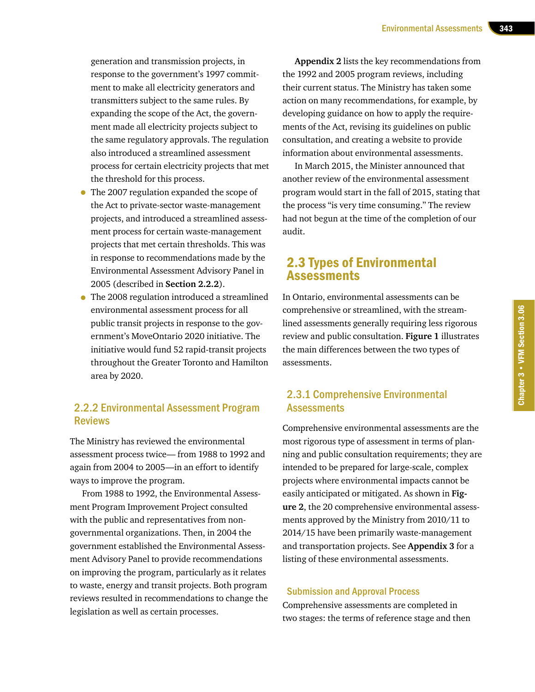generation and transmission projects, in response to the government's 1997 commitment to make all electricity generators and transmitters subject to the same rules. By expanding the scope of the Act, the government made all electricity projects subject to the same regulatory approvals. The regulation also introduced a streamlined assessment process for certain electricity projects that met the threshold for this process.

- The 2007 regulation expanded the scope of the Act to private-sector waste-management projects, and introduced a streamlined assessment process for certain waste-management projects that met certain thresholds. This was in response to recommendations made by the Environmental Assessment Advisory Panel in 2005 (described in **Section 2.2.2**).
- The 2008 regulation introduced a streamlined environmental assessment process for all public transit projects in response to the government's MoveOntario 2020 initiative. The initiative would fund 52 rapid-transit projects throughout the Greater Toronto and Hamilton area by 2020.

#### 2.2.2 Environmental Assessment Program Reviews

The Ministry has reviewed the environmental assessment process twice— from 1988 to 1992 and again from 2004 to 2005—in an effort to identify ways to improve the program.

From 1988 to 1992, the Environmental Assessment Program Improvement Project consulted with the public and representatives from nongovernmental organizations. Then, in 2004 the government established the Environmental Assessment Advisory Panel to provide recommendations on improving the program, particularly as it relates to waste, energy and transit projects. Both program reviews resulted in recommendations to change the legislation as well as certain processes.

**Appendix 2** lists the key recommendations from the 1992 and 2005 program reviews, including their current status. The Ministry has taken some action on many recommendations, for example, by developing guidance on how to apply the requirements of the Act, revising its guidelines on public consultation, and creating a website to provide information about environmental assessments.

In March 2015, the Minister announced that another review of the environmental assessment program would start in the fall of 2015, stating that the process "is very time consuming." The review had not begun at the time of the completion of our audit.

# 2.3 Types of Environmental **Assessments**

In Ontario, environmental assessments can be comprehensive or streamlined, with the streamlined assessments generally requiring less rigorous review and public consultation. **Figure 1** illustrates the main differences between the two types of assessments.

#### 2.3.1 Comprehensive Environmental **Assessments**

Comprehensive environmental assessments are the most rigorous type of assessment in terms of planning and public consultation requirements; they are intended to be prepared for large-scale, complex projects where environmental impacts cannot be easily anticipated or mitigated. As shown in **Figure 2**, the 20 comprehensive environmental assessments approved by the Ministry from 2010/11 to 2014/15 have been primarily waste-management and transportation projects. See **Appendix 3** for a listing of these environmental assessments.

#### Submission and Approval Process

Comprehensive assessments are completed in two stages: the terms of reference stage and then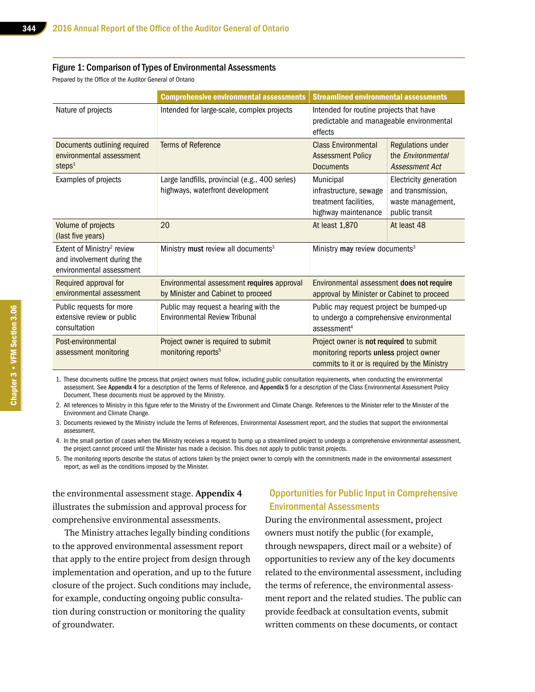#### Figure 1: Comparison of Types of Environmental Assessments

Prepared by the Office of the Auditor General of Ontario

|                                                                                                  | <b>Comprehensive environmental assessments</b>                                     | <b>Streamlined environmental assessments</b>                                                                                       |                                                                                    |
|--------------------------------------------------------------------------------------------------|------------------------------------------------------------------------------------|------------------------------------------------------------------------------------------------------------------------------------|------------------------------------------------------------------------------------|
| Nature of projects                                                                               | Intended for large-scale, complex projects                                         | Intended for routine projects that have<br>predictable and manageable environmental<br>effects                                     |                                                                                    |
| Documents outlining required<br>environmental assessment<br>steps <sup>1</sup>                   | <b>Terms of Reference</b>                                                          | <b>Class Environmental</b><br><b>Assessment Policy</b><br><b>Documents</b>                                                         | <b>Regulations under</b><br>the <i>Environmental</i><br>Assessment Act             |
| Examples of projects                                                                             | Large landfills, provincial (e.g., 400 series)<br>highways, waterfront development | Municipal<br>infrastructure, sewage<br>treatment facilities,<br>highway maintenance                                                | Electricity generation<br>and transmission,<br>waste management,<br>public transit |
| Volume of projects<br>(last five years)                                                          | 20                                                                                 | At least 1,870                                                                                                                     | At least 48                                                                        |
| Extent of Ministry <sup>2</sup> review<br>and involvement during the<br>environmental assessment | Ministry must review all documents <sup>3</sup>                                    | Ministry may review documents <sup>3</sup>                                                                                         |                                                                                    |
| Required approval for<br>environmental assessment                                                | Environmental assessment requires approval<br>by Minister and Cabinet to proceed   | Environmental assessment does not require<br>approval by Minister or Cabinet to proceed                                            |                                                                                    |
| Public requests for more<br>extensive review or public<br>consultation                           | Public may request a hearing with the<br><b>Environmental Review Tribunal</b>      | Public may request project be bumped-up<br>to undergo a comprehensive environmental<br>assessment <sup>4</sup>                     |                                                                                    |
| Post-environmental<br>assessment monitoring                                                      | Project owner is required to submit<br>monitoring reports <sup>5</sup>             | Project owner is not required to submit<br>monitoring reports unless project owner<br>commits to it or is required by the Ministry |                                                                                    |

1. These documents outline the process that project owners must follow, including public consultation requirements, when conducting the environmental assessment. See Appendix 4 for a description of the Terms of Reference, and Appendix 5 for a description of the Class Environmental Assessment Policy Document. These documents must be approved by the Ministry.

2. All references to Ministry in this figure refer to the Ministry of the Environment and Climate Change. References to the Minister refer to the Minister of the Environment and Climate Change.

3. Documents reviewed by the Ministry include the Terms of References, Environmental Assessment report, and the studies that support the environmental assessment.

4. In the small portion of cases when the Ministry receives a request to bump up a streamlined project to undergo a comprehensive environmental assessment, the project cannot proceed until the Minister has made a decision. This does not apply to public transit projects.

5. The monitoring reports describe the status of actions taken by the project owner to comply with the commitments made in the environmental assessment report, as well as the conditions imposed by the Minister.

the environmental assessment stage. **Appendix 4** illustrates the submission and approval process for comprehensive environmental assessments.

The Ministry attaches legally binding conditions to the approved environmental assessment report that apply to the entire project from design through implementation and operation, and up to the future closure of the project. Such conditions may include, for example, conducting ongoing public consultation during construction or monitoring the quality of groundwater.

#### Opportunities for Public Input in Comprehensive Environmental Assessments

During the environmental assessment, project owners must notify the public (for example, through newspapers, direct mail or a website) of opportunities to review any of the key documents related to the environmental assessment, including the terms of reference, the environmental assessment report and the related studies. The public can provide feedback at consultation events, submit written comments on these documents, or contact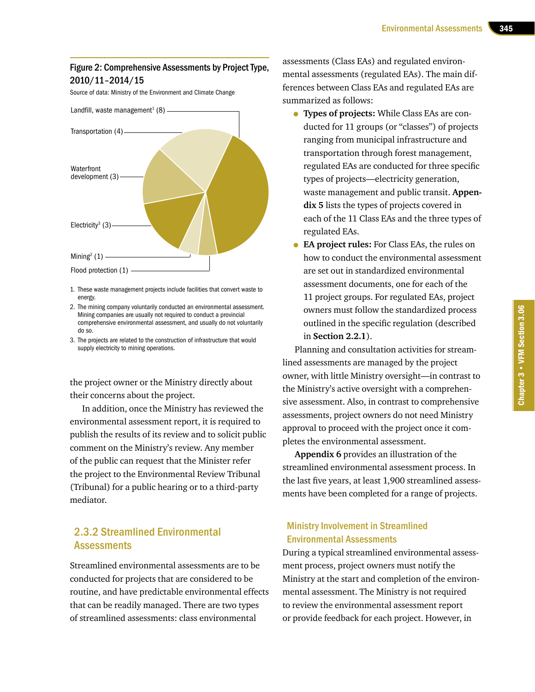#### Figure 2: Comprehensive Assessments by Project Type, 2010/11–2014/15

Source of data: Ministry of the Environment and Climate Change



- 1. These waste management projects include facilities that convert waste to energy.
- 2. The mining company voluntarily conducted an environmental assessment. Mining companies are usually not required to conduct a provincial comprehensive environmental assessment, and usually do not voluntarily do so.
- 3. The projects are related to the construction of infrastructure that would supply electricity to mining operations.

the project owner or the Ministry directly about their concerns about the project.

In addition, once the Ministry has reviewed the environmental assessment report, it is required to publish the results of its review and to solicit public comment on the Ministry's review. Any member of the public can request that the Minister refer the project to the Environmental Review Tribunal (Tribunal) for a public hearing or to a third-party mediator.

#### 2.3.2 Streamlined Environmental **Assessments**

Streamlined environmental assessments are to be conducted for projects that are considered to be routine, and have predictable environmental effects that can be readily managed. There are two types of streamlined assessments: class environmental

assessments (Class EAs) and regulated environmental assessments (regulated EAs). The main differences between Class EAs and regulated EAs are summarized as follows:

- **Types of projects:** While Class EAs are conducted for 11 groups (or "classes") of projects ranging from municipal infrastructure and transportation through forest management, regulated EAs are conducted for three specific types of projects—electricity generation, waste management and public transit. **Appendix 5** lists the types of projects covered in each of the 11 Class EAs and the three types of regulated EAs.
- **EA project rules:** For Class EAs, the rules on how to conduct the environmental assessment are set out in standardized environmental assessment documents, one for each of the 11 project groups. For regulated EAs, project owners must follow the standardized process outlined in the specific regulation (described in **Section 2.2.1**).

Planning and consultation activities for streamlined assessments are managed by the project owner, with little Ministry oversight—in contrast to the Ministry's active oversight with a comprehensive assessment. Also, in contrast to comprehensive assessments, project owners do not need Ministry approval to proceed with the project once it completes the environmental assessment.

**Appendix 6** provides an illustration of the streamlined environmental assessment process. In the last five years, at least 1,900 streamlined assessments have been completed for a range of projects.

#### Ministry Involvement in Streamlined Environmental Assessments

During a typical streamlined environmental assessment process, project owners must notify the Ministry at the start and completion of the environmental assessment. The Ministry is not required to review the environmental assessment report or provide feedback for each project. However, in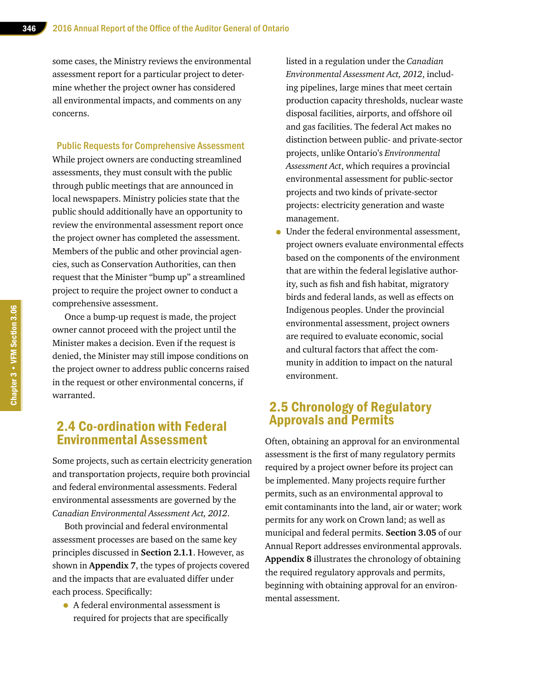some cases, the Ministry reviews the environmental assessment report for a particular project to determine whether the project owner has considered all environmental impacts, and comments on any concerns.

Public Requests for Comprehensive Assessment While project owners are conducting streamlined assessments, they must consult with the public through public meetings that are announced in local newspapers. Ministry policies state that the public should additionally have an opportunity to review the environmental assessment report once the project owner has completed the assessment. Members of the public and other provincial agencies, such as Conservation Authorities, can then request that the Minister "bump up" a streamlined project to require the project owner to conduct a comprehensive assessment.

Once a bump-up request is made, the project owner cannot proceed with the project until the Minister makes a decision. Even if the request is denied, the Minister may still impose conditions on the project owner to address public concerns raised in the request or other environmental concerns, if warranted.

# 2.4 Co-ordination with Federal Environmental Assessment

Some projects, such as certain electricity generation and transportation projects, require both provincial and federal environmental assessments. Federal environmental assessments are governed by the *Canadian Environmental Assessment Act, 2012*.

Both provincial and federal environmental assessment processes are based on the same key principles discussed in **Section 2.1.1**. However, as shown in **Appendix 7**, the types of projects covered and the impacts that are evaluated differ under each process. Specifically:

• A federal environmental assessment is required for projects that are specifically

listed in a regulation under the *Canadian Environmental Assessment Act, 2012*, including pipelines, large mines that meet certain production capacity thresholds, nuclear waste disposal facilities, airports, and offshore oil and gas facilities. The federal Act makes no distinction between public- and private-sector projects, unlike Ontario's *Environmental Assessment Act*, which requires a provincial environmental assessment for public-sector projects and two kinds of private-sector projects: electricity generation and waste management.

• Under the federal environmental assessment, project owners evaluate environmental effects based on the components of the environment that are within the federal legislative authority, such as fish and fish habitat, migratory birds and federal lands, as well as effects on Indigenous peoples. Under the provincial environmental assessment, project owners are required to evaluate economic, social and cultural factors that affect the community in addition to impact on the natural environment.

# 2.5 Chronology of Regulatory Approvals and Permits

Often, obtaining an approval for an environmental assessment is the first of many regulatory permits required by a project owner before its project can be implemented. Many projects require further permits, such as an environmental approval to emit contaminants into the land, air or water; work permits for any work on Crown land; as well as municipal and federal permits. **Section 3.05** of our Annual Report addresses environmental approvals. **Appendix 8** illustrates the chronology of obtaining the required regulatory approvals and permits, beginning with obtaining approval for an environmental assessment.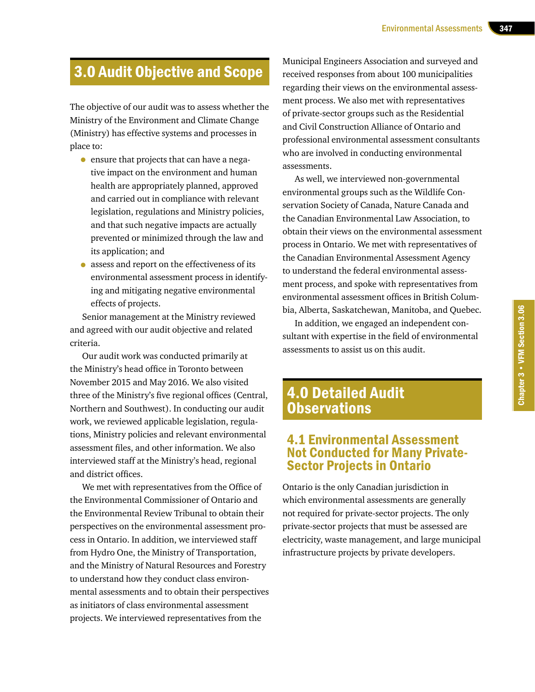# 3.0 Audit Objective and Scope

The objective of our audit was to assess whether the Ministry of the Environment and Climate Change (Ministry) has effective systems and processes in place to:

- ensure that projects that can have a negative impact on the environment and human health are appropriately planned, approved and carried out in compliance with relevant legislation, regulations and Ministry policies, and that such negative impacts are actually prevented or minimized through the law and its application; and
- assess and report on the effectiveness of its environmental assessment process in identifying and mitigating negative environmental effects of projects.

Senior management at the Ministry reviewed and agreed with our audit objective and related criteria.

Our audit work was conducted primarily at the Ministry's head office in Toronto between November 2015 and May 2016. We also visited three of the Ministry's five regional offices (Central, Northern and Southwest). In conducting our audit work, we reviewed applicable legislation, regulations, Ministry policies and relevant environmental assessment files, and other information. We also interviewed staff at the Ministry's head, regional and district offices.

We met with representatives from the Office of the Environmental Commissioner of Ontario and the Environmental Review Tribunal to obtain their perspectives on the environmental assessment process in Ontario. In addition, we interviewed staff from Hydro One, the Ministry of Transportation, and the Ministry of Natural Resources and Forestry to understand how they conduct class environmental assessments and to obtain their perspectives as initiators of class environmental assessment projects. We interviewed representatives from the

Municipal Engineers Association and surveyed and received responses from about 100 municipalities regarding their views on the environmental assessment process. We also met with representatives of private-sector groups such as the Residential and Civil Construction Alliance of Ontario and professional environmental assessment consultants who are involved in conducting environmental assessments.

As well, we interviewed non-governmental environmental groups such as the Wildlife Conservation Society of Canada, Nature Canada and the Canadian Environmental Law Association, to obtain their views on the environmental assessment process in Ontario. We met with representatives of the Canadian Environmental Assessment Agency to understand the federal environmental assessment process, and spoke with representatives from environmental assessment offices in British Columbia, Alberta, Saskatchewan, Manitoba, and Quebec.

In addition, we engaged an independent consultant with expertise in the field of environmental assessments to assist us on this audit.

# 4.0 Detailed Audit **Observations**

# 4.1 Environmental Assessment Not Conducted for Many Private-Sector Projects in Ontario

Ontario is the only Canadian jurisdiction in which environmental assessments are generally not required for private-sector projects. The only private-sector projects that must be assessed are electricity, waste management, and large municipal infrastructure projects by private developers.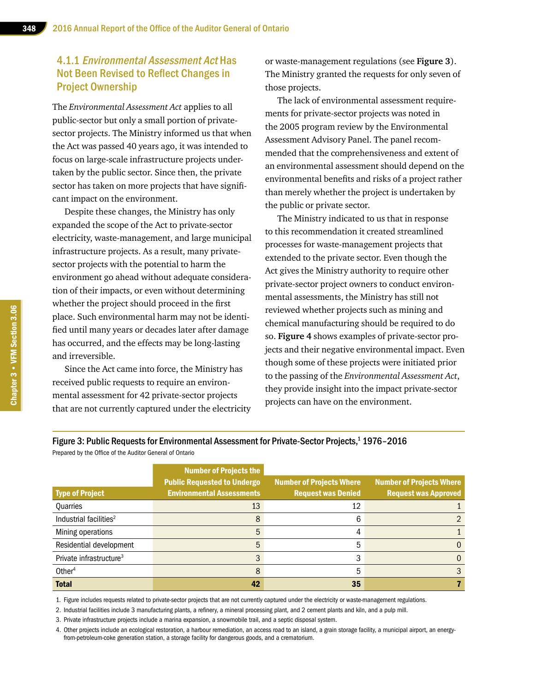#### 4.1.1 Environmental Assessment Act Has Not Been Revised to Reflect Changes in Project Ownership

The *Environmental Assessment Act* applies to all public-sector but only a small portion of privatesector projects. The Ministry informed us that when the Act was passed 40 years ago, it was intended to focus on large-scale infrastructure projects undertaken by the public sector. Since then, the private sector has taken on more projects that have significant impact on the environment.

Despite these changes, the Ministry has only expanded the scope of the Act to private-sector electricity, waste-management, and large municipal infrastructure projects. As a result, many privatesector projects with the potential to harm the environment go ahead without adequate consideration of their impacts, or even without determining whether the project should proceed in the first place. Such environmental harm may not be identified until many years or decades later after damage has occurred, and the effects may be long-lasting and irreversible.

Since the Act came into force, the Ministry has received public requests to require an environmental assessment for 42 private-sector projects that are not currently captured under the electricity or waste-management regulations (see **Figure 3**). The Ministry granted the requests for only seven of those projects.

The lack of environmental assessment requirements for private-sector projects was noted in the 2005 program review by the Environmental Assessment Advisory Panel. The panel recommended that the comprehensiveness and extent of an environmental assessment should depend on the environmental benefits and risks of a project rather than merely whether the project is undertaken by the public or private sector.

The Ministry indicated to us that in response to this recommendation it created streamlined processes for waste-management projects that extended to the private sector. Even though the Act gives the Ministry authority to require other private-sector project owners to conduct environmental assessments, the Ministry has still not reviewed whether projects such as mining and chemical manufacturing should be required to do so. **Figure 4** shows examples of private-sector projects and their negative environmental impact. Even though some of these projects were initiated prior to the passing of the *Environmental Assessment Act*, they provide insight into the impact private-sector projects can have on the environment.

Figure 3: Public Requests for Environmental Assessment for Private-Sector Projects,<sup>1</sup> 1976-2016

Prepared by the Office of the Auditor General of Ontario

|                                     | <b>Number of Projects the</b>                                          |                                                              |                                                                |
|-------------------------------------|------------------------------------------------------------------------|--------------------------------------------------------------|----------------------------------------------------------------|
| Type of Project                     | <b>Public Requested to Undergo</b><br><b>Environmental Assessments</b> | <b>Number of Projects Where</b><br><b>Request was Denied</b> | <b>Number of Projects Where</b><br><b>Request was Approved</b> |
| <b>Quarries</b>                     | 13                                                                     | 12                                                           |                                                                |
| Industrial facilities <sup>2</sup>  |                                                                        | 6                                                            |                                                                |
| Mining operations                   | 5                                                                      | 4                                                            |                                                                |
| Residential development             | 5                                                                      | 5                                                            |                                                                |
| Private infrastructure <sup>3</sup> |                                                                        | 3                                                            |                                                                |
| Other $4$                           | 8                                                                      | 5                                                            |                                                                |
| <b>Total</b>                        | 42                                                                     | 35                                                           |                                                                |

1. Figure includes requests related to private-sector projects that are not currently captured under the electricity or waste-management regulations.

2. Industrial facilities include 3 manufacturing plants, a refinery, a mineral processing plant, and 2 cement plants and kiln, and a pulp mill.

3. Private infrastructure projects include a marina expansion, a snowmobile trail, and a septic disposal system.

4. Other projects include an ecological restoration, a harbour remediation, an access road to an island, a grain storage facility, a municipal airport, an energyfrom-petroleum-coke generation station, a storage facility for dangerous goods, and a crematorium.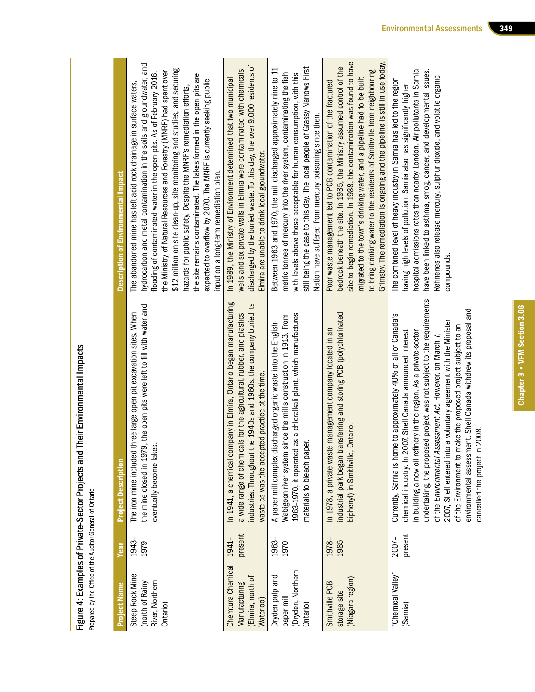| vivate-Sector Projects and Their Envir<br>Figure 4: Examples of Ph. | ho Auditor Coporal of |  |
|---------------------------------------------------------------------|-----------------------|--|

Project Name Year Project Description Description of Environmental Impact

**Project Description** 

Year

**Project Name** 

**Description of Environmental Impact** 

| Steep Rock Mine<br>River, Northern<br>(north of Rainy<br>Ontario)    | 1943-<br>1979    | the mine closed in 1979, the open pits were left to fill with water and<br>three large open pit excavation sites. When<br>eventually become lakes.<br>The iron mine included                                                                                                                                                                                                                                                                                                                                                                                                                      | hydrocarbon and metal contamination in the soils and groundwater, and<br>\$12 million on site clean-up, site monitoring and studies, and securing<br>the Ministry of Natural Resources and Forestry (MNRF) had spent over<br>flooding of contaminated water in the open pits. As of February 2016,<br>the site remains contaminated. The lakes formed in the open pits are<br>expected to overflow by 2070. The MNRF is currently seeking public<br>The abandoned mine has left acid rock drainage in surface waters,<br>hazards for public safety. Despite the MNRF's remediation efforts,<br>input on a long-term remediation plan. |
|----------------------------------------------------------------------|------------------|---------------------------------------------------------------------------------------------------------------------------------------------------------------------------------------------------------------------------------------------------------------------------------------------------------------------------------------------------------------------------------------------------------------------------------------------------------------------------------------------------------------------------------------------------------------------------------------------------|---------------------------------------------------------------------------------------------------------------------------------------------------------------------------------------------------------------------------------------------------------------------------------------------------------------------------------------------------------------------------------------------------------------------------------------------------------------------------------------------------------------------------------------------------------------------------------------------------------------------------------------|
| Chemtura Chemical<br>(Elmira, north of<br>Manufacturing<br>Waterloo) | present<br>1941- | In 1941, a chemical company in Elmira, Ontario began manufacturing<br>industries. Throughout the 1940s and 1960s, the company buried its<br>a wide range of chemicals for the agricultural, rubber, and plastics<br>waste as was the accepted practice at the time.                                                                                                                                                                                                                                                                                                                               | discharged by the buried waste. To this day, the over 9,000 residents of<br>wells and six private wells in Elmira were contaminated with chemicals<br>In 1989, the Ministry of Environment determined that two municipal<br>Elmira are unable to drink local groundwater.                                                                                                                                                                                                                                                                                                                                                             |
| (Dryden, Northern<br>Dryden pulp and<br>paper mill<br>Ontario)       | 1963-<br>1970    | as a chloralkali plant, which manufactures<br>Wabigoon river system since the mill's construction in 1913. From<br>A paper mill complex discharged organic waste into the English-<br>materials to bleach paper.<br>1963-1970, it operated                                                                                                                                                                                                                                                                                                                                                        | still being the case to this day. The local people of Grassy Narrows First<br>Between 1963 and 1970, the mill discharged approximately nine to 11<br>metric tonnes of mercury into the river system, contaminating the fish<br>with levels above those acceptable for human consumption, with this<br>Nation have suffered from mercury poisoning since then.                                                                                                                                                                                                                                                                         |
| (Niagara region)<br>Smithville PCB<br>storage site                   | 1978-<br>1985    | industrial park began transferring and storing PCB (polychlorinated<br>In 1978, a private waste management company located in an<br>Ontario.<br>biphenyl) in Smithville,                                                                                                                                                                                                                                                                                                                                                                                                                          | Grimsby. The remediation is ongoing and the pipeline is still in use today.<br>site to begin remediation. In 1988, the contamination was found to have<br>bedrock beneath the site. In 1985, the Ministry assumed control of the<br>to bring drinking water to the residents of Smithville from neighbouring<br>migrated to the town's drinking water, and a pipeline had to be built<br>Poor waste management led to PCB contamination of the fractured                                                                                                                                                                              |
| "Chemical Valley"<br>(Sarnia)                                        | present<br>2007- | undertaking, the proposed project was not subject to the requirements<br>environmental assessment. Shell Canada withdrew its proposal and<br>e to approximately 40% of all of Canada's<br>2007, Shell entered into a voluntary agreement with the Minister<br>of the Environment to make the proposed project subject to an<br>007, Shell Canada announced interest<br>n building a new oil refinery in the region. As a private-sector<br>of the Environmental Assessment Act. However, on March 7,<br>2008.<br>Currently, Sarnia is hom<br>cancelled the project in<br>chemical industry. In 20 | have been linked to asthma, smog, cancer, and developmental issues.<br>hospital admissions rates than nearby London. Air pollutants in Sarnia<br>Refineries also release mercury, sulphur dioxide, and volatile organic<br>The combined level of heavy industry in Sarnia has led to the region<br>having high levels of pollution. Sarnia also has significantly higher<br>compounds.                                                                                                                                                                                                                                                |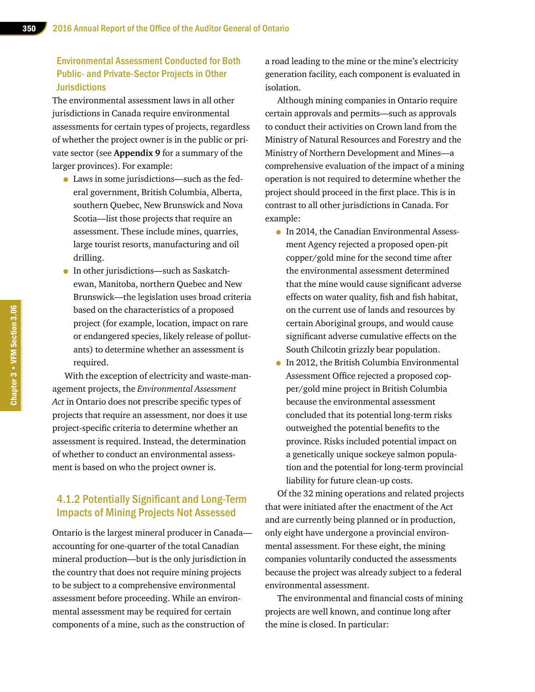#### Environmental Assessment Conducted for Both Public- and Private-Sector Projects in Other **Jurisdictions**

The environmental assessment laws in all other jurisdictions in Canada require environmental assessments for certain types of projects, regardless of whether the project owner is in the public or private sector (see **Appendix 9** for a summary of the larger provinces). For example:

- Laws in some jurisdictions—such as the federal government, British Columbia, Alberta, southern Quebec, New Brunswick and Nova Scotia—list those projects that require an assessment. These include mines, quarries, large tourist resorts, manufacturing and oil drilling.
- In other jurisdictions—such as Saskatchewan, Manitoba, northern Quebec and New Brunswick—the legislation uses broad criteria based on the characteristics of a proposed project (for example, location, impact on rare or endangered species, likely release of pollutants) to determine whether an assessment is required.

With the exception of electricity and waste-management projects, the *Environmental Assessment Act* in Ontario does not prescribe specific types of projects that require an assessment, nor does it use project-specific criteria to determine whether an assessment is required. Instead, the determination of whether to conduct an environmental assessment is based on who the project owner is.

#### 4.1.2 Potentially Significant and Long-Term Impacts of Mining Projects Not Assessed

Ontario is the largest mineral producer in Canada accounting for one-quarter of the total Canadian mineral production—but is the only jurisdiction in the country that does not require mining projects to be subject to a comprehensive environmental assessment before proceeding. While an environmental assessment may be required for certain components of a mine, such as the construction of

a road leading to the mine or the mine's electricity generation facility, each component is evaluated in isolation.

Although mining companies in Ontario require certain approvals and permits—such as approvals to conduct their activities on Crown land from the Ministry of Natural Resources and Forestry and the Ministry of Northern Development and Mines—a comprehensive evaluation of the impact of a mining operation is not required to determine whether the project should proceed in the first place. This is in contrast to all other jurisdictions in Canada. For example:

- In 2014, the Canadian Environmental Assessment Agency rejected a proposed open-pit copper/gold mine for the second time after the environmental assessment determined that the mine would cause significant adverse effects on water quality, fish and fish habitat, on the current use of lands and resources by certain Aboriginal groups, and would cause significant adverse cumulative effects on the South Chilcotin grizzly bear population.
- In 2012, the British Columbia Environmental Assessment Office rejected a proposed copper/gold mine project in British Columbia because the environmental assessment concluded that its potential long-term risks outweighed the potential benefits to the province. Risks included potential impact on a genetically unique sockeye salmon population and the potential for long-term provincial liability for future clean-up costs.

Of the 32 mining operations and related projects that were initiated after the enactment of the Act and are currently being planned or in production, only eight have undergone a provincial environmental assessment. For these eight, the mining companies voluntarily conducted the assessments because the project was already subject to a federal environmental assessment.

The environmental and financial costs of mining projects are well known, and continue long after the mine is closed. In particular: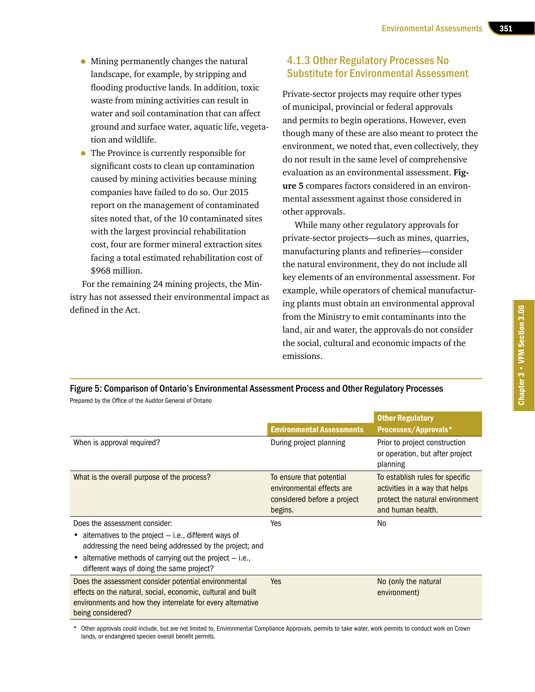- Mining permanently changes the natural landscape, for example, by stripping and flooding productive lands. In addition, toxic waste from mining activities can result in water and soil contamination that can affect ground and surface water, aquatic life, vegetation and wildlife.
- The Province is currently responsible for significant costs to clean up contamination caused by mining activities because mining companies have failed to do so. Our 2015 report on the management of contaminated sites noted that, of the 10 contaminated sites with the largest provincial rehabilitation cost, four are former mineral extraction sites facing a total estimated rehabilitation cost of \$968 million.

For the remaining 24 mining projects, the Ministry has not assessed their environmental impact as defined in the Act.

#### 4.1.3 Other Regulatory Processes No Substitute for Environmental Assessment

Private-sector projects may require other types of municipal, provincial or federal approvals and permits to begin operations. However, even though many of these are also meant to protect the environment, we noted that, even collectively, they do not result in the same level of comprehensive evaluation as an environmental assessment. **Figure 5** compares factors considered in an environmental assessment against those considered in other approvals.

While many other regulatory approvals for private-sector projects—such as mines, quarries, manufacturing plants and refineries—consider the natural environment, they do not include all key elements of an environmental assessment. For example, while operators of chemical manufacturing plants must obtain an environmental approval from the Ministry to emit contaminants into the land, air and water, the approvals do not consider the social, cultural and economic impacts of the emissions.

Figure 5: Comparison of Ontario's Environmental Assessment Process and Other Regulatory Processes Prepared by the Office of the Auditor General of Ontario

|                                                                                                                                                                                                                                  |                                                                                                 | <b>Other Regulatory</b>                                                                                                   |
|----------------------------------------------------------------------------------------------------------------------------------------------------------------------------------------------------------------------------------|-------------------------------------------------------------------------------------------------|---------------------------------------------------------------------------------------------------------------------------|
|                                                                                                                                                                                                                                  | <b>Environmental Assessments</b>                                                                | <b>Processes/Approvals*</b>                                                                                               |
| When is approval required?                                                                                                                                                                                                       | During project planning                                                                         | Prior to project construction<br>or operation, but after project<br>planning                                              |
| What is the overall purpose of the process?                                                                                                                                                                                      | To ensure that potential<br>environmental effects are<br>considered before a project<br>begins. | To establish rules for specific<br>activities in a way that helps<br>protect the natural environment<br>and human health. |
| Does the assessment consider:                                                                                                                                                                                                    | Yes                                                                                             | No                                                                                                                        |
| • alternatives to the project $-$ i.e., different ways of<br>addressing the need being addressed by the project; and<br>• alternative methods of carrying out the project $-$ i.e.,<br>different ways of doing the same project? |                                                                                                 |                                                                                                                           |
| Does the assessment consider potential environmental<br>effects on the natural, social, economic, cultural and built<br>environments and how they interrelate for every alternative<br>being considered?                         | Yes                                                                                             | No (only the natural<br>environment)                                                                                      |

Other approvals could include, but are not limited to, Environmental Compliance Approvals, permits to take water, work permits to conduct work on Crown lands, or endangered species overall benefit permits.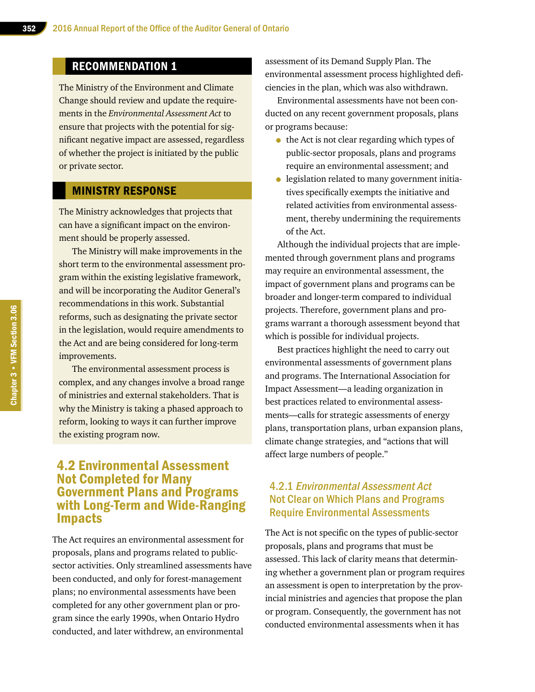# RECOMMENDATION 1

The Ministry of the Environment and Climate Change should review and update the requirements in the *Environmental Assessment Act* to ensure that projects with the potential for significant negative impact are assessed, regardless of whether the project is initiated by the public or private sector.

#### MINISTRY RESPONSE

The Ministry acknowledges that projects that can have a significant impact on the environment should be properly assessed.

The Ministry will make improvements in the short term to the environmental assessment program within the existing legislative framework, and will be incorporating the Auditor General's recommendations in this work. Substantial reforms, such as designating the private sector in the legislation, would require amendments to the Act and are being considered for long-term improvements.

The environmental assessment process is complex, and any changes involve a broad range of ministries and external stakeholders. That is why the Ministry is taking a phased approach to reform, looking to ways it can further improve the existing program now.

#### 4.2 Environmental Assessment Not Completed for Many Government Plans and Programs with Long-Term and Wide-Ranging Impacts

The Act requires an environmental assessment for proposals, plans and programs related to publicsector activities. Only streamlined assessments have been conducted, and only for forest-management plans; no environmental assessments have been completed for any other government plan or program since the early 1990s, when Ontario Hydro conducted, and later withdrew, an environmental

assessment of its Demand Supply Plan. The environmental assessment process highlighted deficiencies in the plan, which was also withdrawn.

Environmental assessments have not been conducted on any recent government proposals, plans or programs because:

- the Act is not clear regarding which types of public-sector proposals, plans and programs require an environmental assessment; and
- legislation related to many government initiatives specifically exempts the initiative and related activities from environmental assessment, thereby undermining the requirements of the Act.

Although the individual projects that are implemented through government plans and programs may require an environmental assessment, the impact of government plans and programs can be broader and longer-term compared to individual projects. Therefore, government plans and programs warrant a thorough assessment beyond that which is possible for individual projects.

Best practices highlight the need to carry out environmental assessments of government plans and programs. The International Association for Impact Assessment—a leading organization in best practices related to environmental assessments—calls for strategic assessments of energy plans, transportation plans, urban expansion plans, climate change strategies, and "actions that will affect large numbers of people."

#### 4.2.1 Environmental Assessment Act Not Clear on Which Plans and Programs Require Environmental Assessments

The Act is not specific on the types of public-sector proposals, plans and programs that must be assessed. This lack of clarity means that determining whether a government plan or program requires an assessment is open to interpretation by the provincial ministries and agencies that propose the plan or program. Consequently, the government has not conducted environmental assessments when it has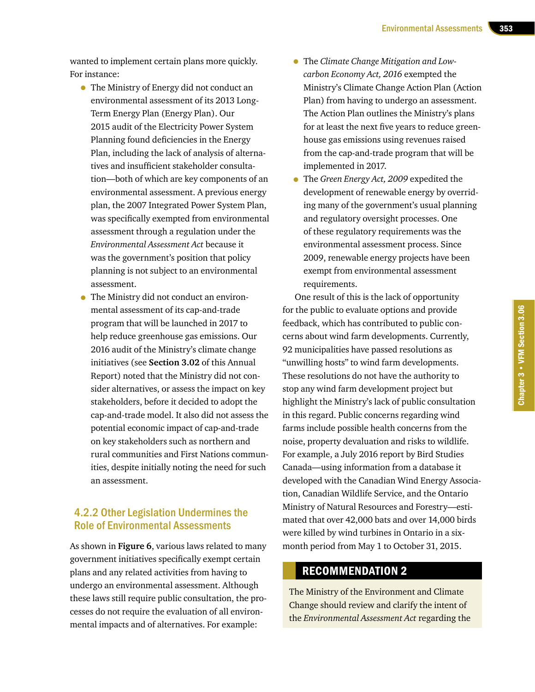wanted to implement certain plans more quickly. For instance:

- The Ministry of Energy did not conduct an environmental assessment of its 2013 Long-Term Energy Plan (Energy Plan). Our 2015 audit of the Electricity Power System Planning found deficiencies in the Energy Plan, including the lack of analysis of alternatives and insufficient stakeholder consultation—both of which are key components of an environmental assessment. A previous energy plan, the 2007 Integrated Power System Plan, was specifically exempted from environmental assessment through a regulation under the *Environmental Assessment Act* because it was the government's position that policy planning is not subject to an environmental assessment.
- The Ministry did not conduct an environmental assessment of its cap-and-trade program that will be launched in 2017 to help reduce greenhouse gas emissions. Our 2016 audit of the Ministry's climate change initiatives (see **Section 3.02** of this Annual Report) noted that the Ministry did not consider alternatives, or assess the impact on key stakeholders, before it decided to adopt the cap-and-trade model. It also did not assess the potential economic impact of cap-and-trade on key stakeholders such as northern and rural communities and First Nations communities, despite initially noting the need for such an assessment.

#### 4.2.2 Other Legislation Undermines the Role of Environmental Assessments

As shown in **Figure 6**, various laws related to many government initiatives specifically exempt certain plans and any related activities from having to undergo an environmental assessment. Although these laws still require public consultation, the processes do not require the evaluation of all environmental impacts and of alternatives. For example:

- The *Climate Change Mitigation and Lowcarbon Economy Act, 2016* exempted the Ministry's Climate Change Action Plan (Action Plan) from having to undergo an assessment. The Action Plan outlines the Ministry's plans for at least the next five years to reduce greenhouse gas emissions using revenues raised from the cap-and-trade program that will be implemented in 2017.
- The *Green Energy Act, 2009* expedited the development of renewable energy by overriding many of the government's usual planning and regulatory oversight processes. One of these regulatory requirements was the environmental assessment process. Since 2009, renewable energy projects have been exempt from environmental assessment requirements.

One result of this is the lack of opportunity for the public to evaluate options and provide feedback, which has contributed to public concerns about wind farm developments. Currently, 92 municipalities have passed resolutions as "unwilling hosts" to wind farm developments. These resolutions do not have the authority to stop any wind farm development project but highlight the Ministry's lack of public consultation in this regard. Public concerns regarding wind farms include possible health concerns from the noise, property devaluation and risks to wildlife. For example, a July 2016 report by Bird Studies Canada—using information from a database it developed with the Canadian Wind Energy Association, Canadian Wildlife Service, and the Ontario Ministry of Natural Resources and Forestry—estimated that over 42,000 bats and over 14,000 birds were killed by wind turbines in Ontario in a sixmonth period from May 1 to October 31, 2015.

#### RECOMMENDATION 2

The Ministry of the Environment and Climate Change should review and clarify the intent of the *Environmental Assessment Act* regarding the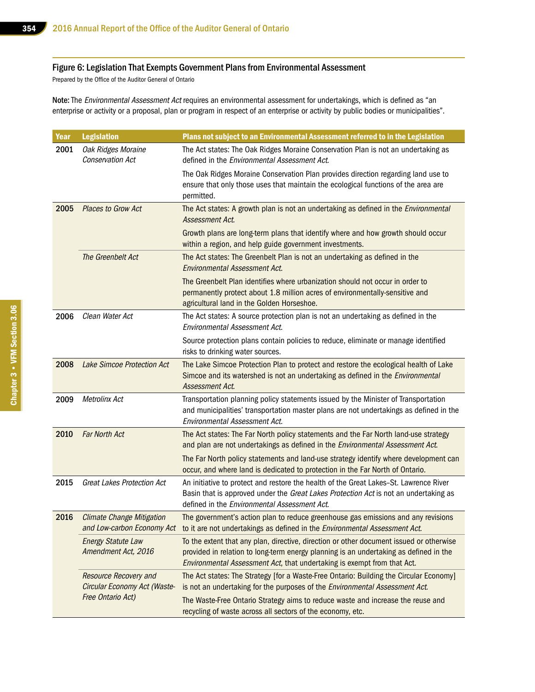#### Figure 6: Legislation That Exempts Government Plans from Environmental Assessment

Prepared by the Office of the Auditor General of Ontario

Note: The Environmental Assessment Act requires an environmental assessment for undertakings, which is defined as "an enterprise or activity or a proposal, plan or program in respect of an enterprise or activity by public bodies or municipalities".

| Year | <b>Legislation</b>                                           | Plans not subject to an Environmental Assessment referred to in the Legislation                                                                                                                                                                             |
|------|--------------------------------------------------------------|-------------------------------------------------------------------------------------------------------------------------------------------------------------------------------------------------------------------------------------------------------------|
| 2001 | Oak Ridges Moraine<br><b>Conservation Act</b>                | The Act states: The Oak Ridges Moraine Conservation Plan is not an undertaking as<br>defined in the Environmental Assessment Act.                                                                                                                           |
|      |                                                              | The Oak Ridges Moraine Conservation Plan provides direction regarding land use to<br>ensure that only those uses that maintain the ecological functions of the area are<br>permitted.                                                                       |
| 2005 | Places to Grow Act                                           | The Act states: A growth plan is not an undertaking as defined in the Environmental<br>Assessment Act.                                                                                                                                                      |
|      |                                                              | Growth plans are long-term plans that identify where and how growth should occur<br>within a region, and help guide government investments.                                                                                                                 |
|      | The Greenbelt Act                                            | The Act states: The Greenbelt Plan is not an undertaking as defined in the<br><b>Environmental Assessment Act.</b>                                                                                                                                          |
|      |                                                              | The Greenbelt Plan identifies where urbanization should not occur in order to<br>permanently protect about 1.8 million acres of environmentally-sensitive and<br>agricultural land in the Golden Horseshoe.                                                 |
| 2006 | Clean Water Act                                              | The Act states: A source protection plan is not an undertaking as defined in the<br>Environmental Assessment Act.                                                                                                                                           |
|      |                                                              | Source protection plans contain policies to reduce, eliminate or manage identified<br>risks to drinking water sources.                                                                                                                                      |
| 2008 | <b>Lake Simcoe Protection Act</b>                            | The Lake Simcoe Protection Plan to protect and restore the ecological health of Lake<br>Simcoe and its watershed is not an undertaking as defined in the Environmental<br>Assessment Act.                                                                   |
| 2009 | Metrolinx Act                                                | Transportation planning policy statements issued by the Minister of Transportation<br>and municipalities' transportation master plans are not undertakings as defined in the<br>Environmental Assessment Act.                                               |
| 2010 | <b>Far North Act</b>                                         | The Act states: The Far North policy statements and the Far North land-use strategy<br>and plan are not undertakings as defined in the Environmental Assessment Act.                                                                                        |
|      |                                                              | The Far North policy statements and land-use strategy identify where development can<br>occur, and where land is dedicated to protection in the Far North of Ontario.                                                                                       |
| 2015 | <b>Great Lakes Protection Act</b>                            | An initiative to protect and restore the health of the Great Lakes-St. Lawrence River<br>Basin that is approved under the Great Lakes Protection Act is not an undertaking as<br>defined in the <i>Environmental Assessment Act</i> .                       |
| 2016 | <b>Climate Change Mitigation</b>                             | The government's action plan to reduce greenhouse gas emissions and any revisions<br>and Low-carbon Economy Act to it are not undertakings as defined in the Environmental Assessment Act.                                                                  |
|      | <b>Energy Statute Law</b><br>Amendment Act, 2016             | To the extent that any plan, directive, direction or other document issued or otherwise<br>provided in relation to long-term energy planning is an undertaking as defined in the<br>Environmental Assessment Act, that undertaking is exempt from that Act. |
|      | <b>Resource Recovery and</b><br>Circular Economy Act (Waste- | The Act states: The Strategy [for a Waste-Free Ontario: Building the Circular Economy]<br>is not an undertaking for the purposes of the Environmental Assessment Act.                                                                                       |
|      | Free Ontario Act)                                            | The Waste-Free Ontario Strategy aims to reduce waste and increase the reuse and<br>recycling of waste across all sectors of the economy, etc.                                                                                                               |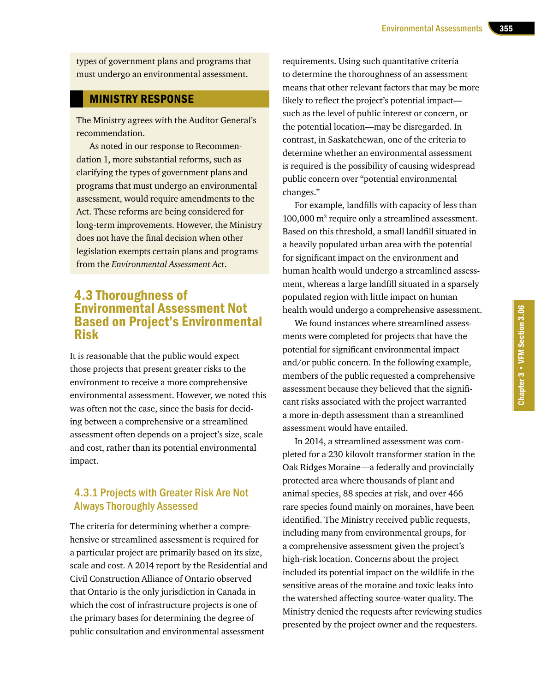types of government plans and programs that must undergo an environmental assessment.

#### MINISTRY RESPONSE

The Ministry agrees with the Auditor General's recommendation.

As noted in our response to Recommendation 1, more substantial reforms, such as clarifying the types of government plans and programs that must undergo an environmental assessment, would require amendments to the Act. These reforms are being considered for long-term improvements. However, the Ministry does not have the final decision when other legislation exempts certain plans and programs from the *Environmental Assessment Act*.

# 4.3 Thoroughness of Environmental Assessment Not Based on Project's Environmental Risk

It is reasonable that the public would expect those projects that present greater risks to the environment to receive a more comprehensive environmental assessment. However, we noted this was often not the case, since the basis for deciding between a comprehensive or a streamlined assessment often depends on a project's size, scale and cost, rather than its potential environmental impact.

#### 4.3.1 Projects with Greater Risk Are Not Always Thoroughly Assessed

The criteria for determining whether a comprehensive or streamlined assessment is required for a particular project are primarily based on its size, scale and cost. A 2014 report by the Residential and Civil Construction Alliance of Ontario observed that Ontario is the only jurisdiction in Canada in which the cost of infrastructure projects is one of the primary bases for determining the degree of public consultation and environmental assessment

requirements. Using such quantitative criteria to determine the thoroughness of an assessment means that other relevant factors that may be more likely to reflect the project's potential impact such as the level of public interest or concern, or the potential location—may be disregarded. In contrast, in Saskatchewan, one of the criteria to determine whether an environmental assessment is required is the possibility of causing widespread public concern over "potential environmental changes."

For example, landfills with capacity of less than 100,000 m<sup>3</sup> require only a streamlined assessment. Based on this threshold, a small landfill situated in a heavily populated urban area with the potential for significant impact on the environment and human health would undergo a streamlined assessment, whereas a large landfill situated in a sparsely populated region with little impact on human health would undergo a comprehensive assessment.

We found instances where streamlined assessments were completed for projects that have the potential for significant environmental impact and/or public concern. In the following example, members of the public requested a comprehensive assessment because they believed that the significant risks associated with the project warranted a more in-depth assessment than a streamlined assessment would have entailed.

In 2014, a streamlined assessment was completed for a 230 kilovolt transformer station in the Oak Ridges Moraine—a federally and provincially protected area where thousands of plant and animal species, 88 species at risk, and over 466 rare species found mainly on moraines, have been identified. The Ministry received public requests, including many from environmental groups, for a comprehensive assessment given the project's high-risk location. Concerns about the project included its potential impact on the wildlife in the sensitive areas of the moraine and toxic leaks into the watershed affecting source-water quality. The Ministry denied the requests after reviewing studies presented by the project owner and the requesters.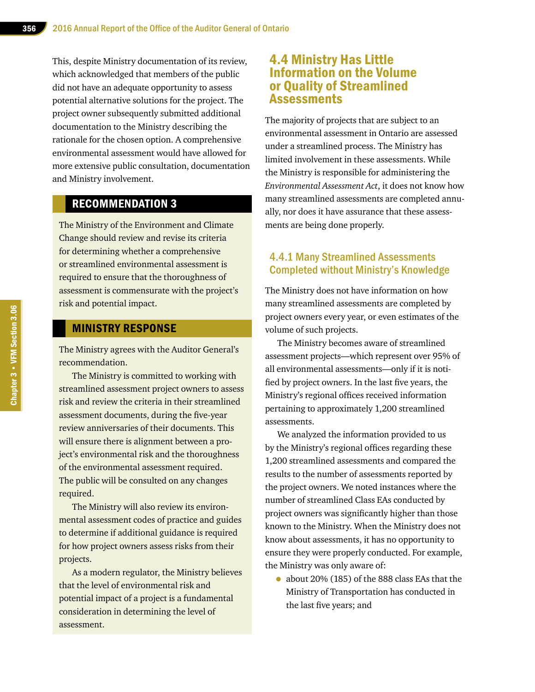This, despite Ministry documentation of its review, which acknowledged that members of the public did not have an adequate opportunity to assess potential alternative solutions for the project. The project owner subsequently submitted additional documentation to the Ministry describing the rationale for the chosen option. A comprehensive environmental assessment would have allowed for more extensive public consultation, documentation and Ministry involvement.

#### RECOMMENDATION 3

The Ministry of the Environment and Climate Change should review and revise its criteria for determining whether a comprehensive or streamlined environmental assessment is required to ensure that the thoroughness of assessment is commensurate with the project's risk and potential impact.

#### MINISTRY RESPONSE

The Ministry agrees with the Auditor General's recommendation.

The Ministry is committed to working with streamlined assessment project owners to assess risk and review the criteria in their streamlined assessment documents, during the five-year review anniversaries of their documents. This will ensure there is alignment between a project's environmental risk and the thoroughness of the environmental assessment required. The public will be consulted on any changes required.

The Ministry will also review its environmental assessment codes of practice and guides to determine if additional guidance is required for how project owners assess risks from their projects.

As a modern regulator, the Ministry believes that the level of environmental risk and potential impact of a project is a fundamental consideration in determining the level of assessment.

### 4.4 Ministry Has Little Information on the Volume or Quality of Streamlined Assessments

The majority of projects that are subject to an environmental assessment in Ontario are assessed under a streamlined process. The Ministry has limited involvement in these assessments. While the Ministry is responsible for administering the *Environmental Assessment Act*, it does not know how many streamlined assessments are completed annually, nor does it have assurance that these assessments are being done properly.

#### 4.4.1 Many Streamlined Assessments Completed without Ministry's Knowledge

The Ministry does not have information on how many streamlined assessments are completed by project owners every year, or even estimates of the volume of such projects.

The Ministry becomes aware of streamlined assessment projects—which represent over 95% of all environmental assessments—only if it is notified by project owners. In the last five years, the Ministry's regional offices received information pertaining to approximately 1,200 streamlined assessments.

We analyzed the information provided to us by the Ministry's regional offices regarding these 1,200 streamlined assessments and compared the results to the number of assessments reported by the project owners. We noted instances where the number of streamlined Class EAs conducted by project owners was significantly higher than those known to the Ministry. When the Ministry does not know about assessments, it has no opportunity to ensure they were properly conducted. For example, the Ministry was only aware of:

• about 20% (185) of the 888 class EAs that the Ministry of Transportation has conducted in the last five years; and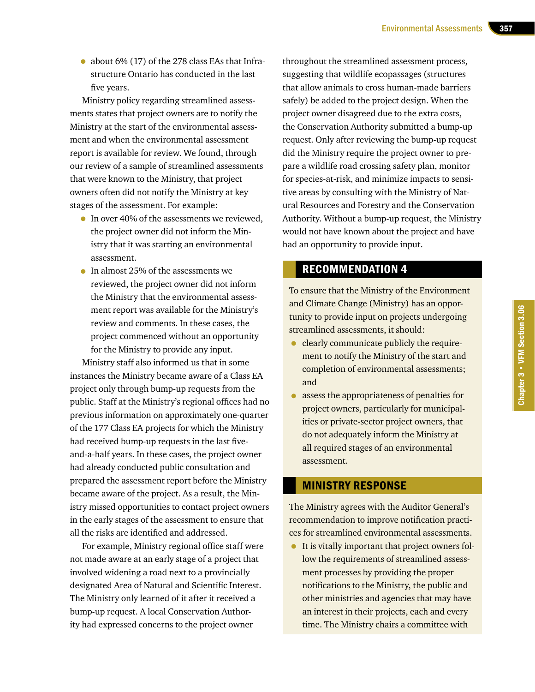• about 6% (17) of the 278 class EAs that Infrastructure Ontario has conducted in the last five years.

Ministry policy regarding streamlined assessments states that project owners are to notify the Ministry at the start of the environmental assessment and when the environmental assessment report is available for review. We found, through our review of a sample of streamlined assessments that were known to the Ministry, that project owners often did not notify the Ministry at key stages of the assessment. For example:

- In over 40% of the assessments we reviewed, the project owner did not inform the Ministry that it was starting an environmental assessment.
- In almost 25% of the assessments we reviewed, the project owner did not inform the Ministry that the environmental assessment report was available for the Ministry's review and comments. In these cases, the project commenced without an opportunity for the Ministry to provide any input.

Ministry staff also informed us that in some instances the Ministry became aware of a Class EA project only through bump-up requests from the public. Staff at the Ministry's regional offices had no previous information on approximately one-quarter of the 177 Class EA projects for which the Ministry had received bump-up requests in the last fiveand-a-half years. In these cases, the project owner had already conducted public consultation and prepared the assessment report before the Ministry became aware of the project. As a result, the Ministry missed opportunities to contact project owners in the early stages of the assessment to ensure that all the risks are identified and addressed.

For example, Ministry regional office staff were not made aware at an early stage of a project that involved widening a road next to a provincially designated Area of Natural and Scientific Interest. The Ministry only learned of it after it received a bump-up request. A local Conservation Authority had expressed concerns to the project owner

throughout the streamlined assessment process, suggesting that wildlife ecopassages (structures that allow animals to cross human-made barriers safely) be added to the project design. When the project owner disagreed due to the extra costs, the Conservation Authority submitted a bump-up request. Only after reviewing the bump-up request did the Ministry require the project owner to prepare a wildlife road crossing safety plan, monitor for species-at-risk, and minimize impacts to sensitive areas by consulting with the Ministry of Natural Resources and Forestry and the Conservation Authority. Without a bump-up request, the Ministry would not have known about the project and have had an opportunity to provide input.

#### RECOMMENDATION 4

To ensure that the Ministry of the Environment and Climate Change (Ministry) has an opportunity to provide input on projects undergoing streamlined assessments, it should:

- clearly communicate publicly the requirement to notify the Ministry of the start and completion of environmental assessments; and
- assess the appropriateness of penalties for project owners, particularly for municipalities or private-sector project owners, that do not adequately inform the Ministry at all required stages of an environmental assessment.

#### MINISTRY RESPONSE

The Ministry agrees with the Auditor General's recommendation to improve notification practices for streamlined environmental assessments.

• It is vitally important that project owners follow the requirements of streamlined assessment processes by providing the proper notifications to the Ministry, the public and other ministries and agencies that may have an interest in their projects, each and every time. The Ministry chairs a committee with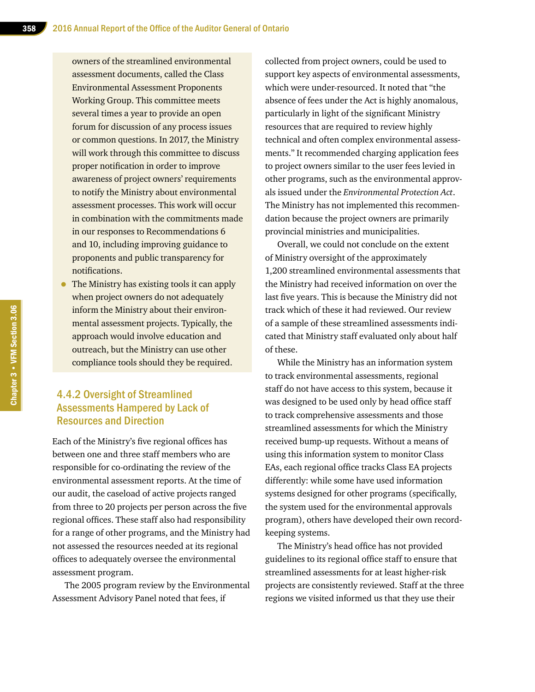owners of the streamlined environmental assessment documents, called the Class Environmental Assessment Proponents Working Group. This committee meets several times a year to provide an open forum for discussion of any process issues or common questions. In 2017, the Ministry will work through this committee to discuss proper notification in order to improve awareness of project owners' requirements to notify the Ministry about environmental assessment processes. This work will occur in combination with the commitments made in our responses to Recommendations 6 and 10, including improving guidance to proponents and public transparency for notifications.

• The Ministry has existing tools it can apply when project owners do not adequately inform the Ministry about their environmental assessment projects. Typically, the approach would involve education and outreach, but the Ministry can use other compliance tools should they be required.

#### 4.4.2 Oversight of Streamlined Assessments Hampered by Lack of Resources and Direction

Each of the Ministry's five regional offices has between one and three staff members who are responsible for co-ordinating the review of the environmental assessment reports. At the time of our audit, the caseload of active projects ranged from three to 20 projects per person across the five regional offices. These staff also had responsibility for a range of other programs, and the Ministry had not assessed the resources needed at its regional offices to adequately oversee the environmental assessment program.

The 2005 program review by the Environmental Assessment Advisory Panel noted that fees, if

collected from project owners, could be used to support key aspects of environmental assessments, which were under-resourced. It noted that "the absence of fees under the Act is highly anomalous, particularly in light of the significant Ministry resources that are required to review highly technical and often complex environmental assessments." It recommended charging application fees to project owners similar to the user fees levied in other programs, such as the environmental approvals issued under the *Environmental Protection Act*. The Ministry has not implemented this recommendation because the project owners are primarily provincial ministries and municipalities.

Overall, we could not conclude on the extent of Ministry oversight of the approximately 1,200 streamlined environmental assessments that the Ministry had received information on over the last five years. This is because the Ministry did not track which of these it had reviewed. Our review of a sample of these streamlined assessments indicated that Ministry staff evaluated only about half of these.

While the Ministry has an information system to track environmental assessments, regional staff do not have access to this system, because it was designed to be used only by head office staff to track comprehensive assessments and those streamlined assessments for which the Ministry received bump-up requests. Without a means of using this information system to monitor Class EAs, each regional office tracks Class EA projects differently: while some have used information systems designed for other programs (specifically, the system used for the environmental approvals program), others have developed their own recordkeeping systems.

The Ministry's head office has not provided guidelines to its regional office staff to ensure that streamlined assessments for at least higher-risk projects are consistently reviewed. Staff at the three regions we visited informed us that they use their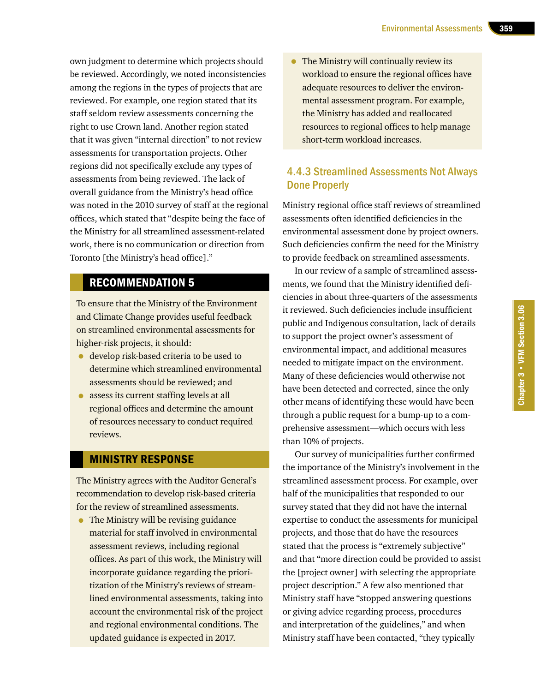own judgment to determine which projects should be reviewed. Accordingly, we noted inconsistencies among the regions in the types of projects that are reviewed. For example, one region stated that its staff seldom review assessments concerning the right to use Crown land. Another region stated that it was given "internal direction" to not review assessments for transportation projects. Other regions did not specifically exclude any types of assessments from being reviewed. The lack of overall guidance from the Ministry's head office was noted in the 2010 survey of staff at the regional offices, which stated that "despite being the face of the Ministry for all streamlined assessment-related work, there is no communication or direction from Toronto [the Ministry's head office]."

# RECOMMENDATION 5

To ensure that the Ministry of the Environment and Climate Change provides useful feedback on streamlined environmental assessments for higher-risk projects, it should:

- develop risk-based criteria to be used to determine which streamlined environmental assessments should be reviewed; and
- assess its current staffing levels at all regional offices and determine the amount of resources necessary to conduct required reviews.

#### MINISTRY RESPONSE

The Ministry agrees with the Auditor General's recommendation to develop risk-based criteria for the review of streamlined assessments.

• The Ministry will be revising guidance material for staff involved in environmental assessment reviews, including regional offices. As part of this work, the Ministry will incorporate guidance regarding the prioritization of the Ministry's reviews of streamlined environmental assessments, taking into account the environmental risk of the project and regional environmental conditions. The updated guidance is expected in 2017.

• The Ministry will continually review its workload to ensure the regional offices have adequate resources to deliver the environmental assessment program. For example, the Ministry has added and reallocated resources to regional offices to help manage short-term workload increases.

#### 4.4.3 Streamlined Assessments Not Always Done Properly

Ministry regional office staff reviews of streamlined assessments often identified deficiencies in the environmental assessment done by project owners. Such deficiencies confirm the need for the Ministry to provide feedback on streamlined assessments.

In our review of a sample of streamlined assessments, we found that the Ministry identified deficiencies in about three-quarters of the assessments it reviewed. Such deficiencies include insufficient public and Indigenous consultation, lack of details to support the project owner's assessment of environmental impact, and additional measures needed to mitigate impact on the environment. Many of these deficiencies would otherwise not have been detected and corrected, since the only other means of identifying these would have been through a public request for a bump-up to a comprehensive assessment—which occurs with less than 10% of projects.

Our survey of municipalities further confirmed the importance of the Ministry's involvement in the streamlined assessment process. For example, over half of the municipalities that responded to our survey stated that they did not have the internal expertise to conduct the assessments for municipal projects, and those that do have the resources stated that the process is "extremely subjective" and that "more direction could be provided to assist the [project owner] with selecting the appropriate project description." A few also mentioned that Ministry staff have "stopped answering questions or giving advice regarding process, procedures and interpretation of the guidelines," and when Ministry staff have been contacted, "they typically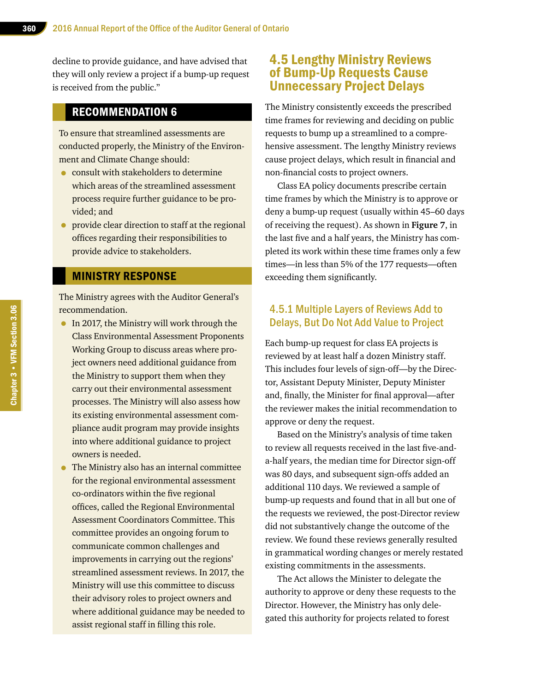decline to provide guidance, and have advised that they will only review a project if a bump-up request is received from the public."

# RECOMMENDATION 6

To ensure that streamlined assessments are conducted properly, the Ministry of the Environment and Climate Change should:

- consult with stakeholders to determine which areas of the streamlined assessment process require further guidance to be provided; and
- provide clear direction to staff at the regional offices regarding their responsibilities to provide advice to stakeholders.

#### MINISTRY RESPONSE

The Ministry agrees with the Auditor General's recommendation.

- In 2017, the Ministry will work through the Class Environmental Assessment Proponents Working Group to discuss areas where project owners need additional guidance from the Ministry to support them when they carry out their environmental assessment processes. The Ministry will also assess how its existing environmental assessment compliance audit program may provide insights into where additional guidance to project owners is needed.
- The Ministry also has an internal committee for the regional environmental assessment co-ordinators within the five regional offices, called the Regional Environmental Assessment Coordinators Committee. This committee provides an ongoing forum to communicate common challenges and improvements in carrying out the regions' streamlined assessment reviews. In 2017, the Ministry will use this committee to discuss their advisory roles to project owners and where additional guidance may be needed to assist regional staff in filling this role.

# 4.5 Lengthy Ministry Reviews of Bump-Up Requests Cause Unnecessary Project Delays

The Ministry consistently exceeds the prescribed time frames for reviewing and deciding on public requests to bump up a streamlined to a comprehensive assessment. The lengthy Ministry reviews cause project delays, which result in financial and non-financial costs to project owners.

Class EA policy documents prescribe certain time frames by which the Ministry is to approve or deny a bump-up request (usually within 45–60 days of receiving the request). As shown in **Figure 7**, in the last five and a half years, the Ministry has completed its work within these time frames only a few times—in less than 5% of the 177 requests—often exceeding them significantly.

#### 4.5.1 Multiple Layers of Reviews Add to Delays, But Do Not Add Value to Project

Each bump-up request for class EA projects is reviewed by at least half a dozen Ministry staff. This includes four levels of sign-off—by the Director, Assistant Deputy Minister, Deputy Minister and, finally, the Minister for final approval—after the reviewer makes the initial recommendation to approve or deny the request.

Based on the Ministry's analysis of time taken to review all requests received in the last five-anda-half years, the median time for Director sign-off was 80 days, and subsequent sign-offs added an additional 110 days. We reviewed a sample of bump-up requests and found that in all but one of the requests we reviewed, the post-Director review did not substantively change the outcome of the review. We found these reviews generally resulted in grammatical wording changes or merely restated existing commitments in the assessments.

The Act allows the Minister to delegate the authority to approve or deny these requests to the Director. However, the Ministry has only delegated this authority for projects related to forest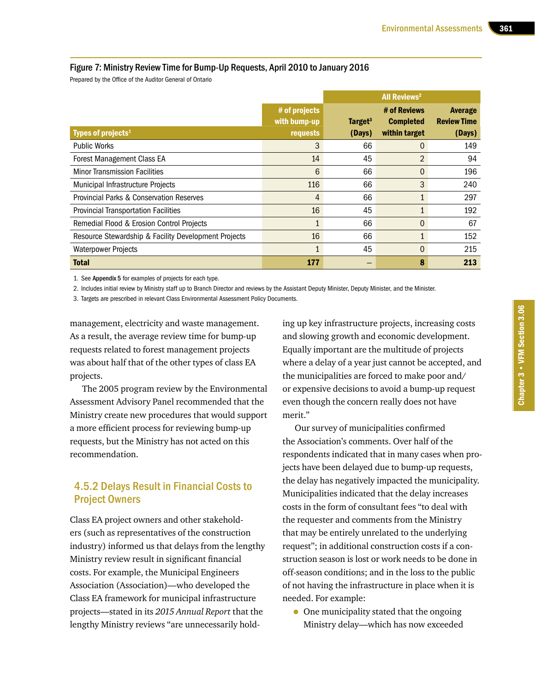#### Figure 7: Ministry Review Time for Bump-Up Requests, April 2010 to January 2016

Prepared by the Office of the Auditor General of Ontario

|                                                      |                               |                     | <b>All Reviews<sup>2</sup></b>   |                                      |
|------------------------------------------------------|-------------------------------|---------------------|----------------------------------|--------------------------------------|
|                                                      | # of projects<br>with bump-up | Target <sup>3</sup> | # of Reviews<br><b>Completed</b> | <b>Average</b><br><b>Review Time</b> |
| Types of projects <sup>1</sup>                       | requests                      | (Days)              | within target                    | (Days)                               |
| <b>Public Works</b>                                  | 3                             | 66                  | 0                                | 149                                  |
| Forest Management Class EA                           | 14                            | 45                  | $\overline{2}$                   | 94                                   |
| <b>Minor Transmission Facilities</b>                 | 6                             | 66                  | $\mathbf{0}$                     | 196                                  |
| Municipal Infrastructure Projects                    | 116                           | 66                  | 3                                | 240                                  |
| <b>Provincial Parks &amp; Conservation Reserves</b>  | 4                             | 66                  | $\mathbf{1}$                     | 297                                  |
| <b>Provincial Transportation Facilities</b>          | 16                            | 45                  | $\mathbf{1}$                     | 192                                  |
| Remedial Flood & Erosion Control Projects            | 1                             | 66                  | $\mathbf{0}$                     | 67                                   |
| Resource Stewardship & Facility Development Projects | 16                            | 66                  | $\mathbf{1}$                     | 152                                  |
| <b>Waterpower Projects</b>                           | 1                             | 45                  | $\mathbf{0}$                     | 215                                  |
| <b>Total</b>                                         | 177                           |                     | 8                                | 213                                  |

1. See Appendix 5 for examples of projects for each type.

2. Includes initial review by Ministry staff up to Branch Director and reviews by the Assistant Deputy Minister, Deputy Minister, and the Minister.

3. Targets are prescribed in relevant Class Environmental Assessment Policy Documents.

management, electricity and waste management. As a result, the average review time for bump-up requests related to forest management projects was about half that of the other types of class EA projects.

The 2005 program review by the Environmental Assessment Advisory Panel recommended that the Ministry create new procedures that would support a more efficient process for reviewing bump-up requests, but the Ministry has not acted on this recommendation.

#### 4.5.2 Delays Result in Financial Costs to Project Owners

Class EA project owners and other stakeholders (such as representatives of the construction industry) informed us that delays from the lengthy Ministry review result in significant financial costs. For example, the Municipal Engineers Association (Association)—who developed the Class EA framework for municipal infrastructure projects—stated in its *2015 Annual Report* that the lengthy Ministry reviews "are unnecessarily hold-

ing up key infrastructure projects, increasing costs and slowing growth and economic development. Equally important are the multitude of projects where a delay of a year just cannot be accepted, and the municipalities are forced to make poor and/ or expensive decisions to avoid a bump-up request even though the concern really does not have merit."

Our survey of municipalities confirmed the Association's comments. Over half of the respondents indicated that in many cases when projects have been delayed due to bump-up requests, the delay has negatively impacted the municipality. Municipalities indicated that the delay increases costs in the form of consultant fees "to deal with the requester and comments from the Ministry that may be entirely unrelated to the underlying request"; in additional construction costs if a construction season is lost or work needs to be done in off-season conditions; and in the loss to the public of not having the infrastructure in place when it is needed. For example:

• One municipality stated that the ongoing Ministry delay—which has now exceeded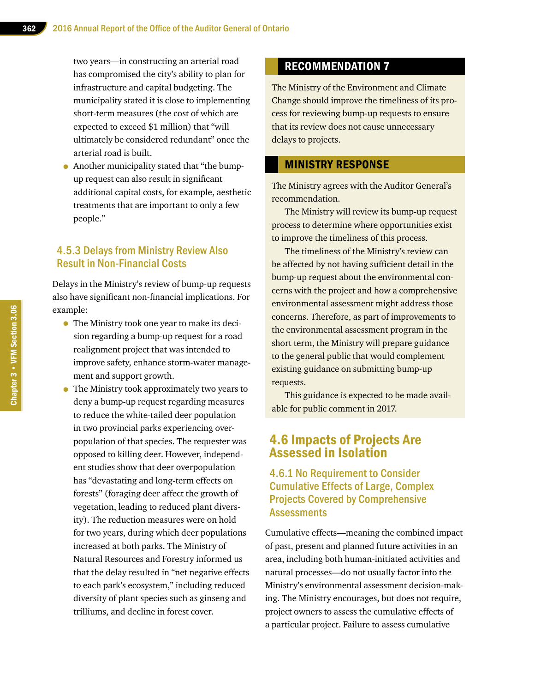two years—in constructing an arterial road has compromised the city's ability to plan for infrastructure and capital budgeting. The municipality stated it is close to implementing short-term measures (the cost of which are expected to exceed \$1 million) that "will ultimately be considered redundant" once the arterial road is built.

• Another municipality stated that "the bumpup request can also result in significant additional capital costs, for example, aesthetic treatments that are important to only a few people."

#### 4.5.3 Delays from Ministry Review Also Result in Non-Financial Costs

Delays in the Ministry's review of bump-up requests also have significant non-financial implications. For example:

- The Ministry took one year to make its decision regarding a bump-up request for a road realignment project that was intended to improve safety, enhance storm-water management and support growth.
- The Ministry took approximately two years to deny a bump-up request regarding measures to reduce the white-tailed deer population in two provincial parks experiencing overpopulation of that species. The requester was opposed to killing deer. However, independent studies show that deer overpopulation has "devastating and long-term effects on forests" (foraging deer affect the growth of vegetation, leading to reduced plant diversity). The reduction measures were on hold for two years, during which deer populations increased at both parks. The Ministry of Natural Resources and Forestry informed us that the delay resulted in "net negative effects to each park's ecosystem," including reduced diversity of plant species such as ginseng and trilliums, and decline in forest cover.

#### RECOMMENDATION 7

The Ministry of the Environment and Climate Change should improve the timeliness of its process for reviewing bump-up requests to ensure that its review does not cause unnecessary delays to projects.

#### MINISTRY RESPONSE

The Ministry agrees with the Auditor General's recommendation.

The Ministry will review its bump-up request process to determine where opportunities exist to improve the timeliness of this process.

The timeliness of the Ministry's review can be affected by not having sufficient detail in the bump-up request about the environmental concerns with the project and how a comprehensive environmental assessment might address those concerns. Therefore, as part of improvements to the environmental assessment program in the short term, the Ministry will prepare guidance to the general public that would complement existing guidance on submitting bump-up requests.

This guidance is expected to be made available for public comment in 2017.

### 4.6 Impacts of Projects Are Assessed in Isolation

#### 4.6.1 No Requirement to Consider Cumulative Effects of Large, Complex Projects Covered by Comprehensive **Assessments**

Cumulative effects—meaning the combined impact of past, present and planned future activities in an area, including both human-initiated activities and natural processes—do not usually factor into the Ministry's environmental assessment decision-making. The Ministry encourages, but does not require, project owners to assess the cumulative effects of a particular project. Failure to assess cumulative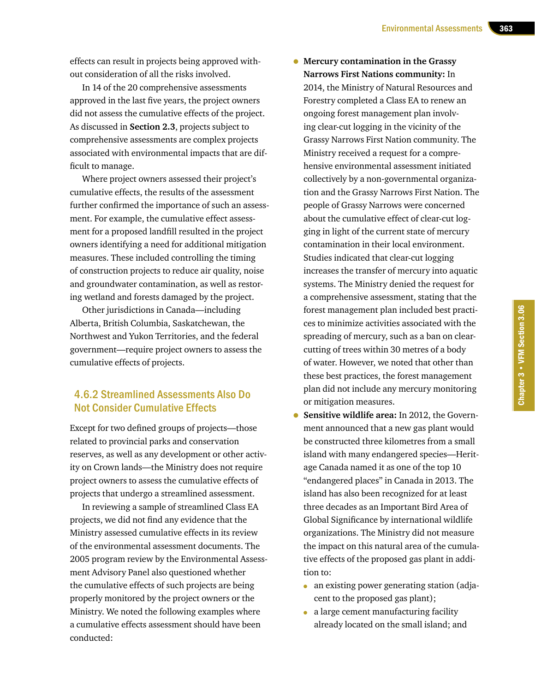effects can result in projects being approved without consideration of all the risks involved.

In 14 of the 20 comprehensive assessments approved in the last five years, the project owners did not assess the cumulative effects of the project. As discussed in **Section 2.3**, projects subject to comprehensive assessments are complex projects associated with environmental impacts that are difficult to manage.

Where project owners assessed their project's cumulative effects, the results of the assessment further confirmed the importance of such an assessment. For example, the cumulative effect assessment for a proposed landfill resulted in the project owners identifying a need for additional mitigation measures. These included controlling the timing of construction projects to reduce air quality, noise and groundwater contamination, as well as restoring wetland and forests damaged by the project.

Other jurisdictions in Canada—including Alberta, British Columbia, Saskatchewan, the Northwest and Yukon Territories, and the federal government—require project owners to assess the cumulative effects of projects.

#### 4.6.2 Streamlined Assessments Also Do Not Consider Cumulative Effects

Except for two defined groups of projects—those related to provincial parks and conservation reserves, as well as any development or other activity on Crown lands—the Ministry does not require project owners to assess the cumulative effects of projects that undergo a streamlined assessment.

In reviewing a sample of streamlined Class EA projects, we did not find any evidence that the Ministry assessed cumulative effects in its review of the environmental assessment documents. The 2005 program review by the Environmental Assessment Advisory Panel also questioned whether the cumulative effects of such projects are being properly monitored by the project owners or the Ministry. We noted the following examples where a cumulative effects assessment should have been conducted:

- **Mercury contamination in the Grassy Narrows First Nations community:** In 2014, the Ministry of Natural Resources and Forestry completed a Class EA to renew an ongoing forest management plan involving clear-cut logging in the vicinity of the Grassy Narrows First Nation community. The Ministry received a request for a comprehensive environmental assessment initiated collectively by a non-governmental organization and the Grassy Narrows First Nation. The people of Grassy Narrows were concerned about the cumulative effect of clear-cut logging in light of the current state of mercury contamination in their local environment. Studies indicated that clear-cut logging increases the transfer of mercury into aquatic systems. The Ministry denied the request for a comprehensive assessment, stating that the forest management plan included best practices to minimize activities associated with the spreading of mercury, such as a ban on clearcutting of trees within 30 metres of a body of water. However, we noted that other than these best practices, the forest management plan did not include any mercury monitoring or mitigation measures.
- **Sensitive wildlife area:** In 2012, the Government announced that a new gas plant would be constructed three kilometres from a small island with many endangered species—Heritage Canada named it as one of the top 10 "endangered places" in Canada in 2013. The island has also been recognized for at least three decades as an Important Bird Area of Global Significance by international wildlife organizations. The Ministry did not measure the impact on this natural area of the cumulative effects of the proposed gas plant in addition to:
	- an existing power generating station (adjacent to the proposed gas plant);
	- a large cement manufacturing facility already located on the small island; and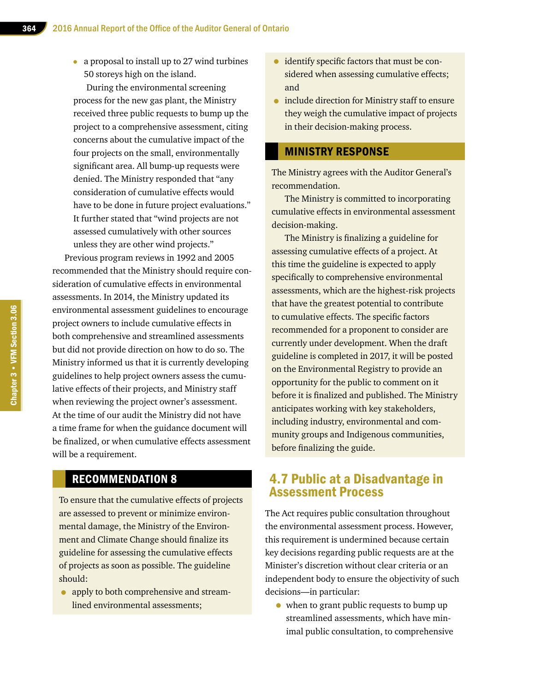• a proposal to install up to 27 wind turbines 50 storeys high on the island.

During the environmental screening process for the new gas plant, the Ministry received three public requests to bump up the project to a comprehensive assessment, citing concerns about the cumulative impact of the four projects on the small, environmentally significant area. All bump-up requests were denied. The Ministry responded that "any consideration of cumulative effects would have to be done in future project evaluations." It further stated that "wind projects are not assessed cumulatively with other sources unless they are other wind projects."

Previous program reviews in 1992 and 2005 recommended that the Ministry should require consideration of cumulative effects in environmental assessments. In 2014, the Ministry updated its environmental assessment guidelines to encourage project owners to include cumulative effects in both comprehensive and streamlined assessments but did not provide direction on how to do so. The Ministry informed us that it is currently developing guidelines to help project owners assess the cumulative effects of their projects, and Ministry staff when reviewing the project owner's assessment. At the time of our audit the Ministry did not have a time frame for when the guidance document will be finalized, or when cumulative effects assessment will be a requirement.

# RECOMMENDATION 8

To ensure that the cumulative effects of projects are assessed to prevent or minimize environmental damage, the Ministry of the Environment and Climate Change should finalize its guideline for assessing the cumulative effects of projects as soon as possible. The guideline should:

• apply to both comprehensive and streamlined environmental assessments;

- identify specific factors that must be considered when assessing cumulative effects; and
- include direction for Ministry staff to ensure they weigh the cumulative impact of projects in their decision-making process.

#### MINISTRY RESPONSE

The Ministry agrees with the Auditor General's recommendation.

The Ministry is committed to incorporating cumulative effects in environmental assessment decision-making.

The Ministry is finalizing a guideline for assessing cumulative effects of a project. At this time the guideline is expected to apply specifically to comprehensive environmental assessments, which are the highest-risk projects that have the greatest potential to contribute to cumulative effects. The specific factors recommended for a proponent to consider are currently under development. When the draft guideline is completed in 2017, it will be posted on the Environmental Registry to provide an opportunity for the public to comment on it before it is finalized and published. The Ministry anticipates working with key stakeholders, including industry, environmental and community groups and Indigenous communities, before finalizing the guide.

# 4.7 Public at a Disadvantage in Assessment Process

The Act requires public consultation throughout the environmental assessment process. However, this requirement is undermined because certain key decisions regarding public requests are at the Minister's discretion without clear criteria or an independent body to ensure the objectivity of such decisions—in particular:

• when to grant public requests to bump up streamlined assessments, which have minimal public consultation, to comprehensive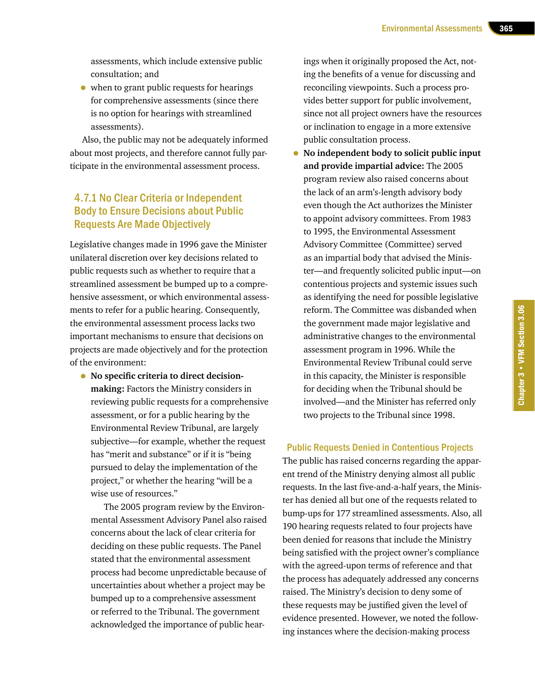assessments, which include extensive public consultation; and

• when to grant public requests for hearings for comprehensive assessments (since there is no option for hearings with streamlined assessments).

Also, the public may not be adequately informed about most projects, and therefore cannot fully participate in the environmental assessment process.

#### 4.7.1 No Clear Criteria or Independent Body to Ensure Decisions about Public Requests Are Made Objectively

Legislative changes made in 1996 gave the Minister unilateral discretion over key decisions related to public requests such as whether to require that a streamlined assessment be bumped up to a comprehensive assessment, or which environmental assessments to refer for a public hearing. Consequently, the environmental assessment process lacks two important mechanisms to ensure that decisions on projects are made objectively and for the protection of the environment:

• **No specific criteria to direct decisionmaking:** Factors the Ministry considers in reviewing public requests for a comprehensive assessment, or for a public hearing by the Environmental Review Tribunal, are largely subjective—for example, whether the request has "merit and substance" or if it is "being pursued to delay the implementation of the project," or whether the hearing "will be a wise use of resources."

The 2005 program review by the Environmental Assessment Advisory Panel also raised concerns about the lack of clear criteria for deciding on these public requests. The Panel stated that the environmental assessment process had become unpredictable because of uncertainties about whether a project may be bumped up to a comprehensive assessment or referred to the Tribunal. The government acknowledged the importance of public hearings when it originally proposed the Act, noting the benefits of a venue for discussing and reconciling viewpoints. Such a process provides better support for public involvement, since not all project owners have the resources or inclination to engage in a more extensive public consultation process.

• **No independent body to solicit public input and provide impartial advice:** The 2005 program review also raised concerns about the lack of an arm's-length advisory body even though the Act authorizes the Minister to appoint advisory committees. From 1983 to 1995, the Environmental Assessment Advisory Committee (Committee) served as an impartial body that advised the Minister—and frequently solicited public input—on contentious projects and systemic issues such as identifying the need for possible legislative reform. The Committee was disbanded when the government made major legislative and administrative changes to the environmental assessment program in 1996. While the Environmental Review Tribunal could serve in this capacity, the Minister is responsible for deciding when the Tribunal should be involved—and the Minister has referred only two projects to the Tribunal since 1998.

#### Public Requests Denied in Contentious Projects

The public has raised concerns regarding the apparent trend of the Ministry denying almost all public requests. In the last five-and-a-half years, the Minister has denied all but one of the requests related to bump-ups for 177 streamlined assessments. Also, all 190 hearing requests related to four projects have been denied for reasons that include the Ministry being satisfied with the project owner's compliance with the agreed-upon terms of reference and that the process has adequately addressed any concerns raised. The Ministry's decision to deny some of these requests may be justified given the level of evidence presented. However, we noted the following instances where the decision-making process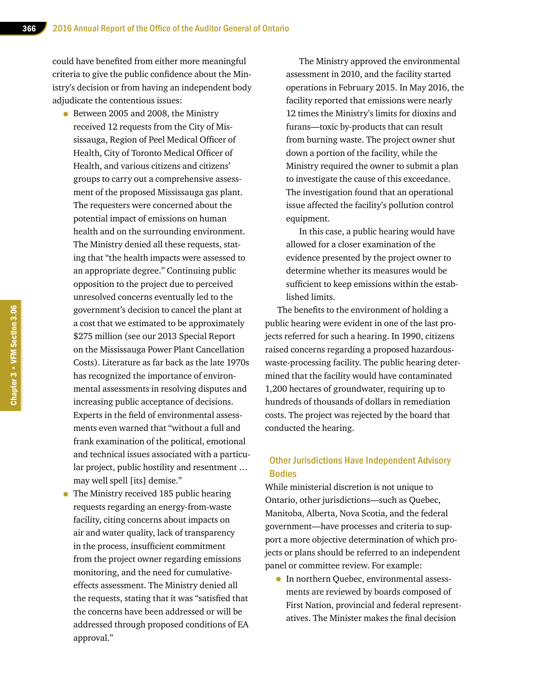could have benefited from either more meaningful criteria to give the public confidence about the Ministry's decision or from having an independent body adjudicate the contentious issues:

- Between 2005 and 2008, the Ministry received 12 requests from the City of Mississauga, Region of Peel Medical Officer of Health, City of Toronto Medical Officer of Health, and various citizens and citizens' groups to carry out a comprehensive assessment of the proposed Mississauga gas plant. The requesters were concerned about the potential impact of emissions on human health and on the surrounding environment. The Ministry denied all these requests, stating that "the health impacts were assessed to an appropriate degree." Continuing public opposition to the project due to perceived unresolved concerns eventually led to the government's decision to cancel the plant at a cost that we estimated to be approximately \$275 million (see our 2013 Special Report on the Mississauga Power Plant Cancellation Costs). Literature as far back as the late 1970s has recognized the importance of environmental assessments in resolving disputes and increasing public acceptance of decisions. Experts in the field of environmental assessments even warned that "without a full and frank examination of the political, emotional and technical issues associated with a particular project, public hostility and resentment … may well spell [its] demise."
- The Ministry received 185 public hearing requests regarding an energy-from-waste facility, citing concerns about impacts on air and water quality, lack of transparency in the process, insufficient commitment from the project owner regarding emissions monitoring, and the need for cumulativeeffects assessment. The Ministry denied all the requests, stating that it was "satisfied that the concerns have been addressed or will be addressed through proposed conditions of EA approval."

The Ministry approved the environmental assessment in 2010, and the facility started operations in February 2015. In May 2016, the facility reported that emissions were nearly 12 times the Ministry's limits for dioxins and furans—toxic by-products that can result from burning waste. The project owner shut down a portion of the facility, while the Ministry required the owner to submit a plan to investigate the cause of this exceedance. The investigation found that an operational issue affected the facility's pollution control equipment.

In this case, a public hearing would have allowed for a closer examination of the evidence presented by the project owner to determine whether its measures would be sufficient to keep emissions within the established limits.

The benefits to the environment of holding a public hearing were evident in one of the last projects referred for such a hearing. In 1990, citizens raised concerns regarding a proposed hazardouswaste-processing facility. The public hearing determined that the facility would have contaminated 1,200 hectares of groundwater, requiring up to hundreds of thousands of dollars in remediation costs. The project was rejected by the board that conducted the hearing.

#### Other Jurisdictions Have Independent Advisory Bodies

While ministerial discretion is not unique to Ontario, other jurisdictions—such as Quebec, Manitoba, Alberta, Nova Scotia, and the federal government—have processes and criteria to support a more objective determination of which projects or plans should be referred to an independent panel or committee review. For example:

• In northern Quebec, environmental assessments are reviewed by boards composed of First Nation, provincial and federal representatives. The Minister makes the final decision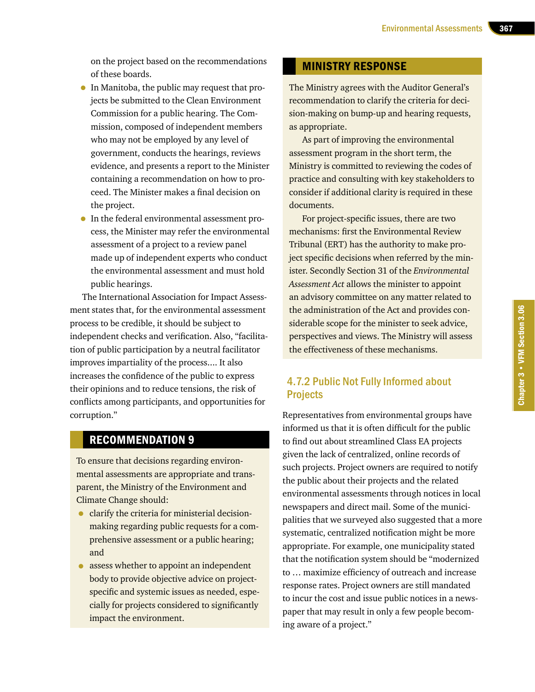on the project based on the recommendations of these boards.

- In Manitoba, the public may request that projects be submitted to the Clean Environment Commission for a public hearing. The Commission, composed of independent members who may not be employed by any level of government, conducts the hearings, reviews evidence, and presents a report to the Minister containing a recommendation on how to proceed. The Minister makes a final decision on the project.
- In the federal environmental assessment process, the Minister may refer the environmental assessment of a project to a review panel made up of independent experts who conduct the environmental assessment and must hold public hearings.

The International Association for Impact Assessment states that, for the environmental assessment process to be credible, it should be subject to independent checks and verification. Also, "facilitation of public participation by a neutral facilitator improves impartiality of the process.... It also increases the confidence of the public to express their opinions and to reduce tensions, the risk of conflicts among participants, and opportunities for corruption."

# RECOMMENDATION 9

To ensure that decisions regarding environmental assessments are appropriate and transparent, the Ministry of the Environment and Climate Change should:

- clarify the criteria for ministerial decisionmaking regarding public requests for a comprehensive assessment or a public hearing; and
- assess whether to appoint an independent body to provide objective advice on projectspecific and systemic issues as needed, especially for projects considered to significantly impact the environment.

#### MINISTRY RESPONSE

The Ministry agrees with the Auditor General's recommendation to clarify the criteria for decision-making on bump-up and hearing requests, as appropriate.

As part of improving the environmental assessment program in the short term, the Ministry is committed to reviewing the codes of practice and consulting with key stakeholders to consider if additional clarity is required in these documents.

For project-specific issues, there are two mechanisms: first the Environmental Review Tribunal (ERT) has the authority to make project specific decisions when referred by the minister. Secondly Section 31 of the *Environmental Assessment Act* allows the minister to appoint an advisory committee on any matter related to the administration of the Act and provides considerable scope for the minister to seek advice, perspectives and views. The Ministry will assess the effectiveness of these mechanisms.

#### 4.7.2 Public Not Fully Informed about **Projects**

Representatives from environmental groups have informed us that it is often difficult for the public to find out about streamlined Class EA projects given the lack of centralized, online records of such projects. Project owners are required to notify the public about their projects and the related environmental assessments through notices in local newspapers and direct mail. Some of the municipalities that we surveyed also suggested that a more systematic, centralized notification might be more appropriate. For example, one municipality stated that the notification system should be "modernized to … maximize efficiency of outreach and increase response rates. Project owners are still mandated to incur the cost and issue public notices in a newspaper that may result in only a few people becoming aware of a project."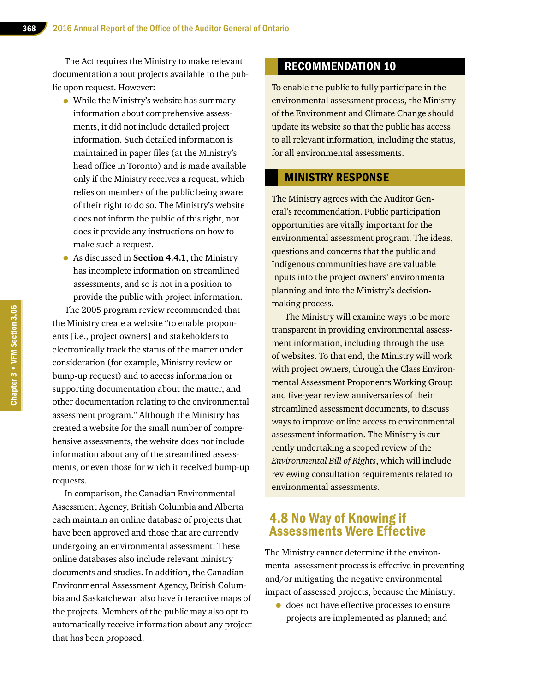The Act requires the Ministry to make relevant documentation about projects available to the public upon request. However:

- While the Ministry's website has summary information about comprehensive assessments, it did not include detailed project information. Such detailed information is maintained in paper files (at the Ministry's head office in Toronto) and is made available only if the Ministry receives a request, which relies on members of the public being aware of their right to do so. The Ministry's website does not inform the public of this right, nor does it provide any instructions on how to make such a request.
- As discussed in **Section 4.4.1**, the Ministry has incomplete information on streamlined assessments, and so is not in a position to provide the public with project information.

The 2005 program review recommended that the Ministry create a website "to enable proponents [i.e., project owners] and stakeholders to electronically track the status of the matter under consideration (for example, Ministry review or bump-up request) and to access information or supporting documentation about the matter, and other documentation relating to the environmental assessment program." Although the Ministry has created a website for the small number of comprehensive assessments, the website does not include information about any of the streamlined assessments, or even those for which it received bump-up requests.

In comparison, the Canadian Environmental Assessment Agency, British Columbia and Alberta each maintain an online database of projects that have been approved and those that are currently undergoing an environmental assessment. These online databases also include relevant ministry documents and studies. In addition, the Canadian Environmental Assessment Agency, British Columbia and Saskatchewan also have interactive maps of the projects. Members of the public may also opt to automatically receive information about any project that has been proposed.

### RECOMMENDATION 10

To enable the public to fully participate in the environmental assessment process, the Ministry of the Environment and Climate Change should update its website so that the public has access to all relevant information, including the status, for all environmental assessments.

#### MINISTRY RESPONSE

The Ministry agrees with the Auditor General's recommendation. Public participation opportunities are vitally important for the environmental assessment program. The ideas, questions and concerns that the public and Indigenous communities have are valuable inputs into the project owners' environmental planning and into the Ministry's decisionmaking process.

The Ministry will examine ways to be more transparent in providing environmental assessment information, including through the use of websites. To that end, the Ministry will work with project owners, through the Class Environmental Assessment Proponents Working Group and five-year review anniversaries of their streamlined assessment documents, to discuss ways to improve online access to environmental assessment information. The Ministry is currently undertaking a scoped review of the *Environmental Bill of Rights*, which will include reviewing consultation requirements related to environmental assessments.

# 4.8 No Way of Knowing if Assessments Were Effective

The Ministry cannot determine if the environmental assessment process is effective in preventing and/or mitigating the negative environmental impact of assessed projects, because the Ministry:

• does not have effective processes to ensure projects are implemented as planned; and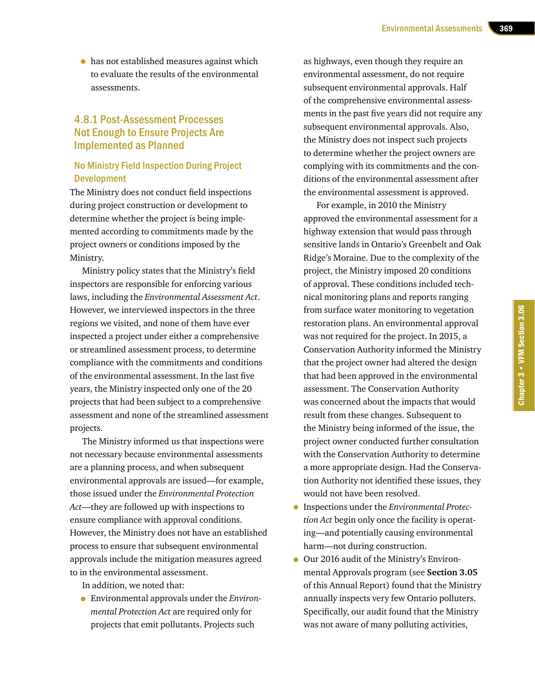• has not established measures against which to evaluate the results of the environmental assessments.

#### 4.8.1 Post-Assessment Processes Not Enough to Ensure Projects Are Implemented as Planned

#### No Ministry Field Inspection During Project Development

The Ministry does not conduct field inspections during project construction or development to determine whether the project is being implemented according to commitments made by the project owners or conditions imposed by the Ministry.

Ministry policy states that the Ministry's field inspectors are responsible for enforcing various laws, including the *Environmental Assessment Act*. However, we interviewed inspectors in the three regions we visited, and none of them have ever inspected a project under either a comprehensive or streamlined assessment process, to determine compliance with the commitments and conditions of the environmental assessment. In the last five years, the Ministry inspected only one of the 20 projects that had been subject to a comprehensive assessment and none of the streamlined assessment projects.

The Ministry informed us that inspections were not necessary because environmental assessments are a planning process, and when subsequent environmental approvals are issued—for example, those issued under the *Environmental Protection Act*—they are followed up with inspections to ensure compliance with approval conditions. However, the Ministry does not have an established process to ensure that subsequent environmental approvals include the mitigation measures agreed to in the environmental assessment.

In addition, we noted that:

• Environmental approvals under the *Environmental Protection Act* are required only for projects that emit pollutants. Projects such

as highways, even though they require an environmental assessment, do not require subsequent environmental approvals. Half of the comprehensive environmental assessments in the past five years did not require any subsequent environmental approvals. Also, the Ministry does not inspect such projects to determine whether the project owners are complying with its commitments and the conditions of the environmental assessment after the environmental assessment is approved.

For example, in 2010 the Ministry approved the environmental assessment for a highway extension that would pass through sensitive lands in Ontario's Greenbelt and Oak Ridge's Moraine. Due to the complexity of the project, the Ministry imposed 20 conditions of approval. These conditions included technical monitoring plans and reports ranging from surface water monitoring to vegetation restoration plans. An environmental approval was not required for the project. In 2015, a Conservation Authority informed the Ministry that the project owner had altered the design that had been approved in the environmental assessment. The Conservation Authority was concerned about the impacts that would result from these changes. Subsequent to the Ministry being informed of the issue, the project owner conducted further consultation with the Conservation Authority to determine a more appropriate design. Had the Conservation Authority not identified these issues, they would not have been resolved.

- Inspections under the *Environmental Protection Act* begin only once the facility is operating—and potentially causing environmental harm—not during construction.
- Our 2016 audit of the Ministry's Environmental Approvals program (see **Section 3.05** of this Annual Report) found that the Ministry annually inspects very few Ontario polluters. Specifically, our audit found that the Ministry was not aware of many polluting activities,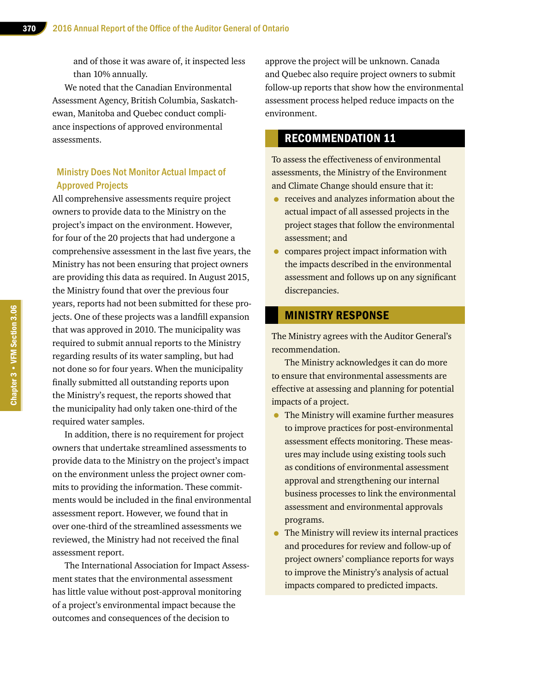and of those it was aware of, it inspected less than 10% annually.

We noted that the Canadian Environmental Assessment Agency, British Columbia, Saskatchewan, Manitoba and Quebec conduct compliance inspections of approved environmental assessments.

#### Ministry Does Not Monitor Actual Impact of Approved Projects

All comprehensive assessments require project owners to provide data to the Ministry on the project's impact on the environment. However, for four of the 20 projects that had undergone a comprehensive assessment in the last five years, the Ministry has not been ensuring that project owners are providing this data as required. In August 2015, the Ministry found that over the previous four years, reports had not been submitted for these projects. One of these projects was a landfill expansion that was approved in 2010. The municipality was required to submit annual reports to the Ministry regarding results of its water sampling, but had not done so for four years. When the municipality finally submitted all outstanding reports upon the Ministry's request, the reports showed that the municipality had only taken one-third of the required water samples.

In addition, there is no requirement for project owners that undertake streamlined assessments to provide data to the Ministry on the project's impact on the environment unless the project owner commits to providing the information. These commitments would be included in the final environmental assessment report. However, we found that in over one-third of the streamlined assessments we reviewed, the Ministry had not received the final assessment report.

The International Association for Impact Assessment states that the environmental assessment has little value without post-approval monitoring of a project's environmental impact because the outcomes and consequences of the decision to

approve the project will be unknown. Canada and Quebec also require project owners to submit follow-up reports that show how the environmental assessment process helped reduce impacts on the environment.

#### RECOMMENDATION 11

To assess the effectiveness of environmental assessments, the Ministry of the Environment and Climate Change should ensure that it:

- receives and analyzes information about the actual impact of all assessed projects in the project stages that follow the environmental assessment; and
- compares project impact information with the impacts described in the environmental assessment and follows up on any significant discrepancies.

#### MINISTRY RESPONSE

The Ministry agrees with the Auditor General's recommendation.

The Ministry acknowledges it can do more to ensure that environmental assessments are effective at assessing and planning for potential impacts of a project.

- The Ministry will examine further measures to improve practices for post-environmental assessment effects monitoring. These measures may include using existing tools such as conditions of environmental assessment approval and strengthening our internal business processes to link the environmental assessment and environmental approvals programs.
- The Ministry will review its internal practices and procedures for review and follow-up of project owners' compliance reports for ways to improve the Ministry's analysis of actual impacts compared to predicted impacts.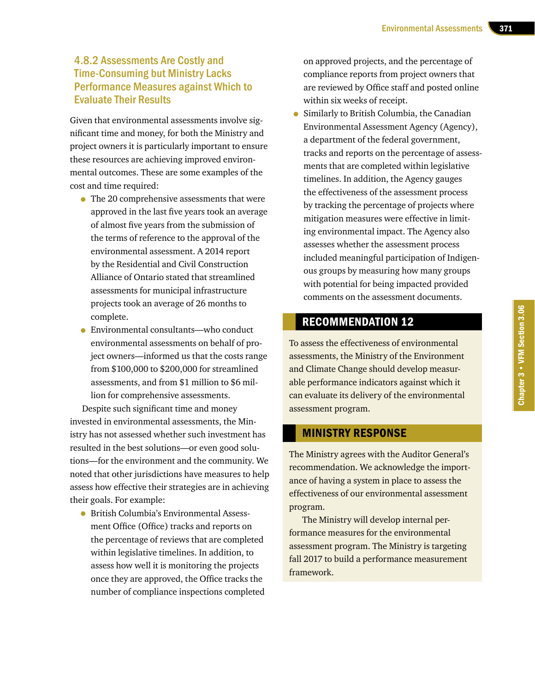#### 4.8.2 Assessments Are Costly and Time-Consuming but Ministry Lacks Performance Measures against Which to Evaluate Their Results

Given that environmental assessments involve significant time and money, for both the Ministry and project owners it is particularly important to ensure these resources are achieving improved environmental outcomes. These are some examples of the cost and time required:

- The 20 comprehensive assessments that were approved in the last five years took an average of almost five years from the submission of the terms of reference to the approval of the environmental assessment. A 2014 report by the Residential and Civil Construction Alliance of Ontario stated that streamlined assessments for municipal infrastructure projects took an average of 26 months to complete.
- Environmental consultants—who conduct environmental assessments on behalf of project owners—informed us that the costs range from \$100,000 to \$200,000 for streamlined assessments, and from \$1 million to \$6 million for comprehensive assessments.

Despite such significant time and money invested in environmental assessments, the Ministry has not assessed whether such investment has resulted in the best solutions—or even good solutions—for the environment and the community. We noted that other jurisdictions have measures to help assess how effective their strategies are in achieving their goals. For example:

• British Columbia's Environmental Assessment Office (Office) tracks and reports on the percentage of reviews that are completed within legislative timelines. In addition, to assess how well it is monitoring the projects once they are approved, the Office tracks the number of compliance inspections completed on approved projects, and the percentage of compliance reports from project owners that are reviewed by Office staff and posted online within six weeks of receipt.

• Similarly to British Columbia, the Canadian Environmental Assessment Agency (Agency), a department of the federal government, tracks and reports on the percentage of assessments that are completed within legislative timelines. In addition, the Agency gauges the effectiveness of the assessment process by tracking the percentage of projects where mitigation measures were effective in limiting environmental impact. The Agency also assesses whether the assessment process included meaningful participation of Indigenous groups by measuring how many groups with potential for being impacted provided comments on the assessment documents.

#### RECOMMENDATION 12

To assess the effectiveness of environmental assessments, the Ministry of the Environment and Climate Change should develop measurable performance indicators against which it can evaluate its delivery of the environmental assessment program.

#### MINISTRY RESPONSE

The Ministry agrees with the Auditor General's recommendation. We acknowledge the importance of having a system in place to assess the effectiveness of our environmental assessment program.

The Ministry will develop internal performance measures for the environmental assessment program. The Ministry is targeting fall 2017 to build a performance measurement framework.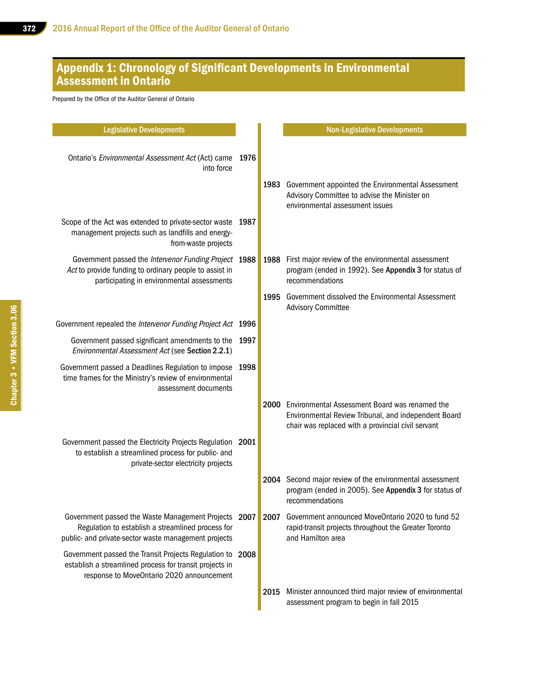# Appendix 1: Chronology of Significant Developments in Environmental Assessment in Ontario

Prepared by the Office of the Auditor General of Ontario

| <b>Legislative Developments</b>                                                                                                                                   |      |      | <b>Non-Legislative Developments</b>                                                                                                                               |
|-------------------------------------------------------------------------------------------------------------------------------------------------------------------|------|------|-------------------------------------------------------------------------------------------------------------------------------------------------------------------|
| Ontario's Environmental Assessment Act (Act) came<br>into force                                                                                                   | 1976 |      | 1983 Government appointed the Environmental Assessment<br>Advisory Committee to advise the Minister on<br>environmental assessment issues                         |
| Scope of the Act was extended to private-sector waste<br>management projects such as landfills and energy-<br>from-waste projects                                 | 1987 |      |                                                                                                                                                                   |
| Government passed the Intervenor Funding Project 1988<br>Act to provide funding to ordinary people to assist in<br>participating in environmental assessments     |      |      | 1988 First major review of the environmental assessment<br>program (ended in 1992). See Appendix 3 for status of<br>recommendations                               |
|                                                                                                                                                                   |      |      | 1995 Government dissolved the Environmental Assessment<br><b>Advisory Committee</b>                                                                               |
| Government repealed the Intervenor Funding Project Act 1996                                                                                                       |      |      |                                                                                                                                                                   |
| Government passed significant amendments to the<br>Environmental Assessment Act (see Section 2.2.1)                                                               | 1997 |      |                                                                                                                                                                   |
| Government passed a Deadlines Regulation to impose<br>time frames for the Ministry's review of environmental<br>assessment documents                              | 1998 |      |                                                                                                                                                                   |
|                                                                                                                                                                   |      |      | 2000 Environmental Assessment Board was renamed the<br>Environmental Review Tribunal, and independent Board<br>chair was replaced with a provincial civil servant |
| Government passed the Electricity Projects Regulation 2001<br>to establish a streamlined process for public- and<br>private-sector electricity projects           |      |      |                                                                                                                                                                   |
|                                                                                                                                                                   |      |      | 2004 Second major review of the environmental assessment<br>program (ended in 2005). See Appendix 3 for status of<br>recommendations                              |
| Government passed the Waste Management Projects 2007<br>Regulation to establish a streamlined process for<br>public- and private-sector waste management projects |      |      | 2007 Government announced MoveOntario 2020 to fund 52<br>rapid-transit projects throughout the Greater Toronto<br>and Hamilton area                               |
| Government passed the Transit Projects Regulation to 2008<br>establish a streamlined process for transit projects in<br>response to MoveOntario 2020 announcement |      |      |                                                                                                                                                                   |
|                                                                                                                                                                   |      | 2015 | Minister announced third major review of environmental<br>assessment program to begin in fall 2015                                                                |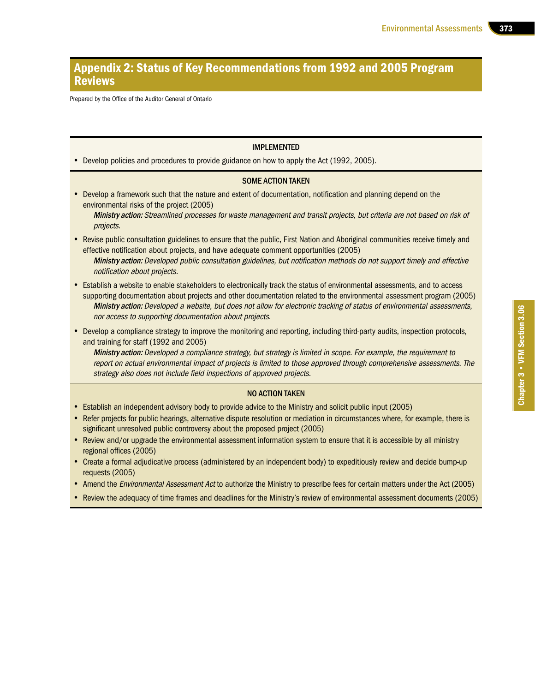#### Appendix 2: Status of Key Recommendations from 1992 and 2005 Program Reviews

Prepared by the Office of the Auditor General of Ontario

#### IMPLEMENTED

• Develop policies and procedures to provide guidance on how to apply the Act (1992, 2005).

#### SOME ACTION TAKEN

• Develop a framework such that the nature and extent of documentation, notification and planning depend on the environmental risks of the project (2005)

Ministry action: Streamlined processes for waste management and transit projects, but criteria are not based on risk of projects.

- Revise public consultation guidelines to ensure that the public, First Nation and Aboriginal communities receive timely and effective notification about projects, and have adequate comment opportunities (2005) Ministry action: Developed public consultation guidelines, but notification methods do not support timely and effective notification about projects.
- Establish a website to enable stakeholders to electronically track the status of environmental assessments, and to access supporting documentation about projects and other documentation related to the environmental assessment program (2005) Ministry action: Developed a website, but does not allow for electronic tracking of status of environmental assessments, nor access to supporting documentation about projects.
- Develop a compliance strategy to improve the monitoring and reporting, including third-party audits, inspection protocols, and training for staff (1992 and 2005)

Ministry action: Developed a compliance strategy, but strategy is limited in scope. For example, the requirement to report on actual environmental impact of projects is limited to those approved through comprehensive assessments. The strategy also does not include field inspections of approved projects.

#### NO ACTION TAKEN

- Establish an independent advisory body to provide advice to the Ministry and solicit public input (2005)
- Refer projects for public hearings, alternative dispute resolution or mediation in circumstances where, for example, there is significant unresolved public controversy about the proposed project (2005)
- Review and/or upgrade the environmental assessment information system to ensure that it is accessible by all ministry regional offices (2005)
- Create a formal adjudicative process (administered by an independent body) to expeditiously review and decide bump-up requests (2005)
- Amend the *Environmental Assessment Act* to authorize the Ministry to prescribe fees for certain matters under the Act (2005)
- Review the adequacy of time frames and deadlines for the Ministry's review of environmental assessment documents (2005)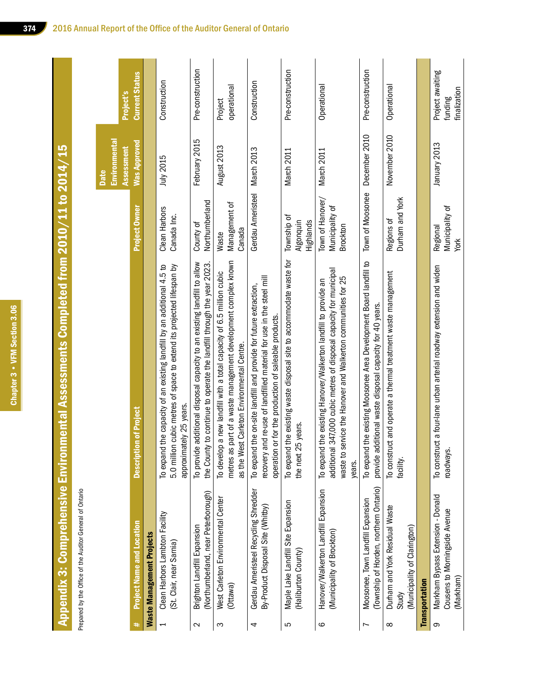Chapter 3 • VFM Section 3.06 Chapter 3 • VFM Section 3.06

# Appendix 3: Comprehensive Environmental Assessments Completed from 2010/11 to 2014/15 Appendix 3: Comprehensive Environmental Assessments Completed from 2010/11 to 2014/15

Prepared by the Office of the Auditor General of Ontario Prepared by the Office of the Auditor General of Ontario

|                |                                                                                 |                                                                                                                                                                                                                        |                                                 | Environmental<br>Date |                                             |
|----------------|---------------------------------------------------------------------------------|------------------------------------------------------------------------------------------------------------------------------------------------------------------------------------------------------------------------|-------------------------------------------------|-----------------------|---------------------------------------------|
|                |                                                                                 |                                                                                                                                                                                                                        |                                                 | Assessment            | Project's                                   |
| #              | <b>Project Name and Location</b>                                                | <b>Description of Project</b>                                                                                                                                                                                          | Project Owner                                   | <b>Was Approved</b>   | <b>Current Status</b>                       |
|                | <b>Waste Management Projects</b>                                                |                                                                                                                                                                                                                        |                                                 |                       |                                             |
| $\overline{ }$ | Clean Harbors Lambton Facility<br>(St. Clair, near Sarnia)                      | cubic metres of space to extend its projected lifespan by<br>the capacity of an existing landfill by an additional 4.5 to<br>approximately 25 years.<br>To expand<br>5.0 million                                       | Clean Harbors<br>Canada Inc.                    | July 2015             | Construction                                |
| $\sim$         | (Northumberland, near Peterborough)<br>Brighton Landfill Expansion              | additional disposal capacity to an existing landfill to allow<br>to continue to operate the landfill through the year 2023.<br>To provide<br>the County                                                                | Northumberland<br>County of                     | February 2015         | Pre-construction                            |
| S              | West Carleton Environmental Center<br>(Ottawa)                                  | metres as part of a waste management development complex known<br>a new landfill with a total capacity of 6.5 million cubic<br>as the West Carleton Environmental Centre.<br>To develop                                | Management of<br>Canada<br>Waste                | August 2013           | operational<br>Project                      |
| 4              | Gerdau Ameristeel Recycling Shredder<br>By-Product Disposal Site (Whitby)       | recovery and re-use of landfilled material for use in the steel mill<br>the on-site landfill and provide for future extraction,<br>operation or for the production of saleable products.<br>To expand                  | Gerdau Ameristeel                               | March 2013            | Construction                                |
| 5              | Maple Lake Landfill Site Expansion<br>(Haliburton County)                       | the existing waste disposal site to accommodate waste for<br>the next 25 years.<br>To expand                                                                                                                           | Township of<br>Algonquin<br>Highlands           | March 2011            | Pre-construction                            |
| $\circ$        | Hanover/Walkerton Landfill Expansion<br>(Municipality of Brockton)              | 347,000 cubic metres of disposal capacity for municipal<br>waste to service the Hanover and Walkerton communities for 25<br>the existing Hanover/Walkerton landfill to provide an<br>To expand<br>additional<br>years. | Town of Hanover/<br>Municipality of<br>Brockton | March 2011            | Operational                                 |
| Ľ              | Township of Horden, northern Ontario)<br>Moosonee, Town Landfill Expansion      | To expand the existing Moosonee Area Development Board landfill to<br>provide additional waste disposal capacity for 40 years.                                                                                         | Town of Moosonee                                | December 2010         | Pre-construction                            |
| $\infty$       | Durham and York Residual Waste<br>(Municipality of Clarington)<br>Study         | To construct and operate a thermal treatment waste management<br>facility.                                                                                                                                             | Durham and York<br>Regions of                   | November 2010         | Operational                                 |
|                | <b>Transportation</b>                                                           |                                                                                                                                                                                                                        |                                                 |                       |                                             |
| တ              | Markham Bypass Extension - Donald<br>Cousens to Morningside Avenue<br>(Markham) | To construct a four-lane urban arterial roadway extension and widen<br>roadways.                                                                                                                                       | Municipality of<br>Regional<br>York             | January 2013          | Project awaiting<br>finalization<br>funding |
|                |                                                                                 |                                                                                                                                                                                                                        |                                                 |                       |                                             |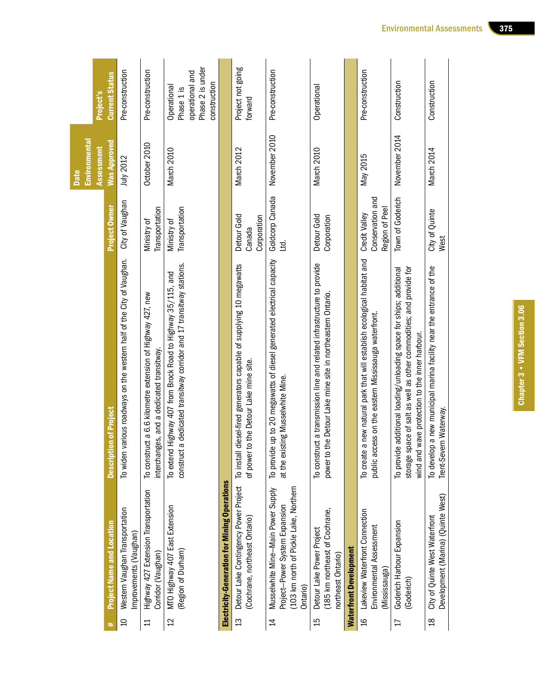| Electricity-Generation for Mining Operations<br>Detour Lake Contingency Power Project<br>Musselwhite Mine-Main Power Supply<br>(103 km north of Pickle Lake, Northern<br>Highway 427 Extension Transportation<br>Project-Power System Expansion<br>MTO Highway 407 East Extension<br>Western Vaughan Transportation<br>(185 km northeast of Cochrane,<br>Lakeview Waterfront Connection<br>(Cochrane, northeast Ontario)<br>Goderich Harbour Expansion<br><b>Project Name and Location</b><br>Environmental Assessment<br>Detour Lake Power Project<br>Improvements (Vaughan)<br><b>Waterfront Development</b><br>(Region of Durham)<br>Corridor (Vaughan)<br>northeast Ontario)<br>(Mississauga)<br>(Goderich)<br>Ontario)<br>$\overline{2}$<br>13<br>$\frac{1}{6}$<br>$\overline{a}$<br>$\overline{4}$<br>15<br>17<br>11<br># |                                                                                                                                                                                              |                                                     | Assessment    | Project's                                                                        |
|---------------------------------------------------------------------------------------------------------------------------------------------------------------------------------------------------------------------------------------------------------------------------------------------------------------------------------------------------------------------------------------------------------------------------------------------------------------------------------------------------------------------------------------------------------------------------------------------------------------------------------------------------------------------------------------------------------------------------------------------------------------------------------------------------------------------------------|----------------------------------------------------------------------------------------------------------------------------------------------------------------------------------------------|-----------------------------------------------------|---------------|----------------------------------------------------------------------------------|
|                                                                                                                                                                                                                                                                                                                                                                                                                                                                                                                                                                                                                                                                                                                                                                                                                                 | <b>Description of Project</b>                                                                                                                                                                | <b>Project Owner</b>                                | Was Approved  | <b>Current Status</b>                                                            |
|                                                                                                                                                                                                                                                                                                                                                                                                                                                                                                                                                                                                                                                                                                                                                                                                                                 | To widen various roadways on the western half of the City of Vaughan.                                                                                                                        | City of Vaughan                                     | July 2012     | Pre-construction                                                                 |
|                                                                                                                                                                                                                                                                                                                                                                                                                                                                                                                                                                                                                                                                                                                                                                                                                                 | To construct a 6.6 kilometre extension of Highway 427, new<br>interchanges, and a dedicated transitway.                                                                                      | Transportation<br>Ministry of                       | October 2010  | Pre-construction                                                                 |
|                                                                                                                                                                                                                                                                                                                                                                                                                                                                                                                                                                                                                                                                                                                                                                                                                                 | dedicated transitway corridor and 17 transitway stations.<br>To extend Highway 407 from Brock Road to Highway 35/115, and<br>construct a                                                     | Transportation<br>Ministry of                       | March 2010    | Phase 2 is under<br>operational and<br>construction<br>Operational<br>Phase 1 is |
|                                                                                                                                                                                                                                                                                                                                                                                                                                                                                                                                                                                                                                                                                                                                                                                                                                 |                                                                                                                                                                                              |                                                     |               |                                                                                  |
|                                                                                                                                                                                                                                                                                                                                                                                                                                                                                                                                                                                                                                                                                                                                                                                                                                 | To install diesel-fired generators capable of supplying 10 megawatts<br>of power to the Detour Lake mine site.                                                                               | Detour Gold<br>Corporation<br>Canada                | March 2012    | Project not going<br>forward                                                     |
|                                                                                                                                                                                                                                                                                                                                                                                                                                                                                                                                                                                                                                                                                                                                                                                                                                 | To provide up to 20 megawatts of diesel generated electrical capacity<br>at the existing Musselwhite Mine.                                                                                   | Goldcorp Canada<br>Ē                                | November 2010 | Pre-construction                                                                 |
|                                                                                                                                                                                                                                                                                                                                                                                                                                                                                                                                                                                                                                                                                                                                                                                                                                 | To construct a transmission line and related infrastructure to provide<br>power to the Detour Lake mine site in northeastern Ontario.                                                        | Detour Gold<br>Corporation                          | March 2010    | Operational                                                                      |
|                                                                                                                                                                                                                                                                                                                                                                                                                                                                                                                                                                                                                                                                                                                                                                                                                                 |                                                                                                                                                                                              |                                                     |               |                                                                                  |
|                                                                                                                                                                                                                                                                                                                                                                                                                                                                                                                                                                                                                                                                                                                                                                                                                                 | new natural park that will establish ecological habitat and<br>public access on the eastern Mississauga waterfront.<br>To create a                                                           | Conservation and<br>Region of Peel<br>Credit Valley | May 2015      | Pre-construction                                                                 |
|                                                                                                                                                                                                                                                                                                                                                                                                                                                                                                                                                                                                                                                                                                                                                                                                                                 | storage space of salt as well as other commodities; and provide for<br>To provide additional loading/unloading space for ships; additional<br>wind and wave protection to the inner harbour. | Town of Goderich                                    | November 2014 | Construction                                                                     |
| Development (Marina) (Quinte West)<br>City of Quinte West Waterfront<br>$\frac{8}{18}$                                                                                                                                                                                                                                                                                                                                                                                                                                                                                                                                                                                                                                                                                                                                          | a new municipal marina facility near the entrance of the<br>Trent-Severn Waterway.<br>To develop                                                                                             | City of Quinte<br>West                              | March 2014    | Construction                                                                     |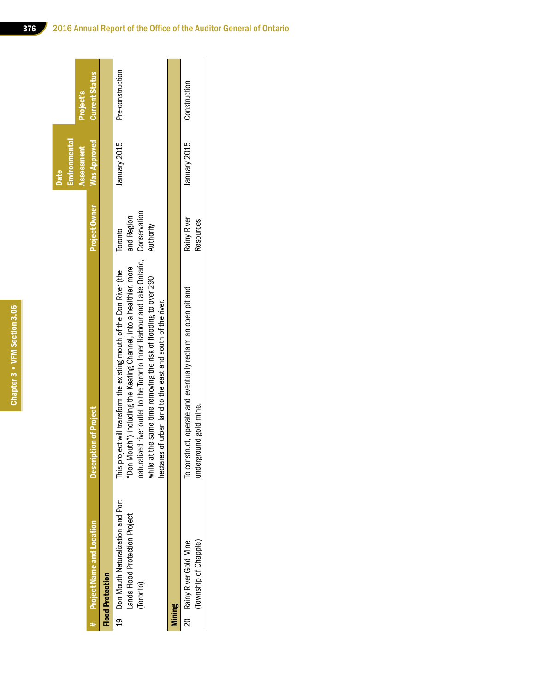| I<br>I                 |
|------------------------|
| I<br>i<br>I            |
| i<br>I                 |
| I<br>I                 |
| n<br>ŕ                 |
| i<br>I                 |
| ī<br>I                 |
| I<br>ׇֺ֕֡              |
| i                      |
| ׇ֚֬                    |
|                        |
| l<br>l                 |
| I<br>ׇׇ֒֘֡<br>j        |
|                        |
| <b>Service Service</b> |
| I<br>֦                 |
|                        |
| ֠<br>I<br>l            |

|                                                                                     |                                                                                                                                                                                                                                                                                                                                                         |                                                    | Environmental<br><b>Date</b> |                       |
|-------------------------------------------------------------------------------------|---------------------------------------------------------------------------------------------------------------------------------------------------------------------------------------------------------------------------------------------------------------------------------------------------------------------------------------------------------|----------------------------------------------------|------------------------------|-----------------------|
|                                                                                     |                                                                                                                                                                                                                                                                                                                                                         |                                                    | Assessment                   | Project's             |
| <b>Project Name and Location</b>                                                    | ion of Project<br><b>Descripti</b>                                                                                                                                                                                                                                                                                                                      | <b>Project Owner</b>                               | <b>Was Approved</b>          | <b>Current Status</b> |
| <b>Flood Protection</b>                                                             |                                                                                                                                                                                                                                                                                                                                                         |                                                    |                              |                       |
| 19 Don Mouth Naturalization and Port<br>Lands Flood Protection Project<br>(Toronto) | naturalized river outlet to the Toronto Inner Harbour and Lake Ontario,<br>'Don Mouth") including the Keating Channel, into a healthier, more<br>This project will transform the existing mouth of the Don River (the<br>while at the same time removing the risk of flooding to over 290<br>hectares of urban land to the east and south of the river. | Conservation<br>and Region<br>Authority<br>Toronto | January 2015                 | Pre-construction      |
| Aining                                                                              |                                                                                                                                                                                                                                                                                                                                                         |                                                    |                              |                       |
| (Township of Chapple)<br>20 Rainy River Gold Mine                                   | To construct, operate and eventually reclaim an open pit and<br>underground gold mine.                                                                                                                                                                                                                                                                  | Rainy River<br>Resources                           | January 2015                 | Construction          |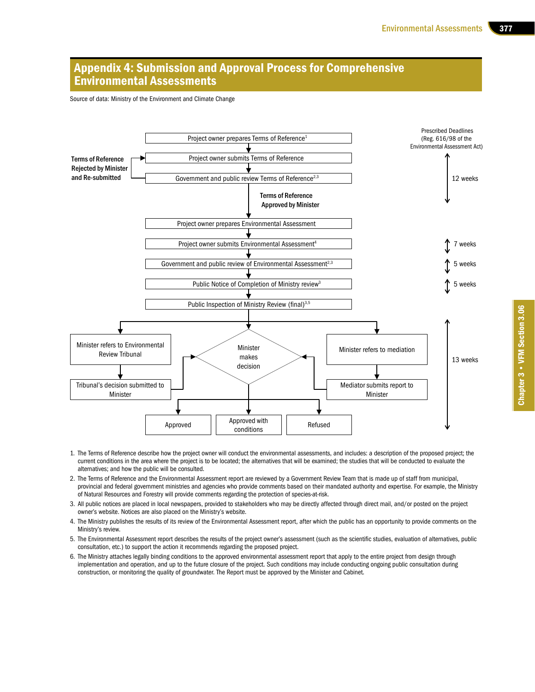#### Appendix 4: Submission and Approval Process for Comprehensive Environmental Assessments

Source of data: Ministry of the Environment and Climate Change



- 1. The Terms of Reference describe how the project owner will conduct the environmental assessments, and includes: a description of the proposed project; the current conditions in the area where the project is to be located; the alternatives that will be examined; the studies that will be conducted to evaluate the alternatives; and how the public will be consulted.
- 2. The Terms of Reference and the Environmental Assessment report are reviewed by a Government Review Team that is made up of staff from municipal, provincial and federal government ministries and agencies who provide comments based on their mandated authority and expertise. For example, the Ministry of Natural Resources and Forestry will provide comments regarding the protection of species-at-risk.
- 3. All public notices are placed in local newspapers, provided to stakeholders who may be directly affected through direct mail, and/or posted on the project owner's website. Notices are also placed on the Ministry's website.
- 4. The Ministry publishes the results of its review of the Environmental Assessment report, after which the public has an opportunity to provide comments on the Ministry's review.
- 5. The Environmental Assessment report describes the results of the project owner's assessment (such as the scientific studies, evaluation of alternatives, public consultation, etc.) to support the action it recommends regarding the proposed project.
- 6. The Ministry attaches legally binding conditions to the approved environmental assessment report that apply to the entire project from design through implementation and operation, and up to the future closure of the project. Such conditions may include conducting ongoing public consultation during construction, or monitoring the quality of groundwater. The Report must be approved by the Minister and Cabinet.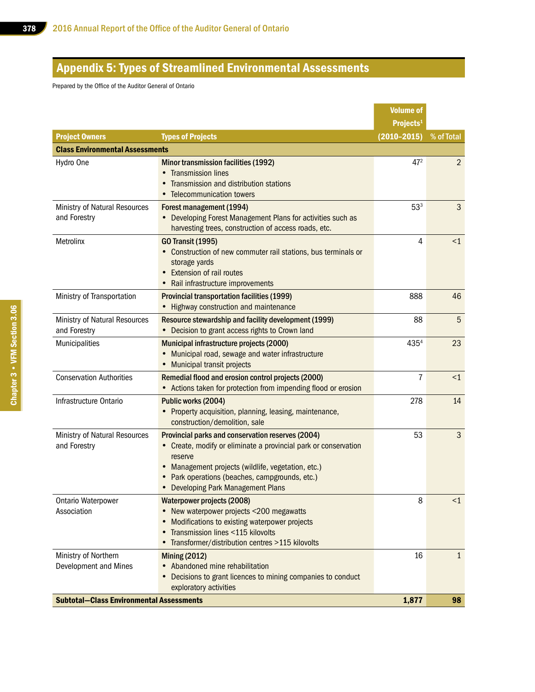# Appendix 5: Types of Streamlined Environmental Assessments

Prepared by the Office of the Auditor General of Ontario

|                                                 |                                                                                                               | <b>Volume of</b>      |                |
|-------------------------------------------------|---------------------------------------------------------------------------------------------------------------|-----------------------|----------------|
|                                                 |                                                                                                               | Projects <sup>1</sup> |                |
| <b>Project Owners</b>                           | <b>Types of Projects</b>                                                                                      | $(2010 - 2015)$       | % of Total     |
| <b>Class Environmental Assessments</b>          |                                                                                                               |                       |                |
| Hydro One                                       | <b>Minor transmission facilities (1992)</b>                                                                   | 47 <sup>2</sup>       | $\overline{2}$ |
|                                                 | • Transmission lines                                                                                          |                       |                |
|                                                 | Transmission and distribution stations<br>• Telecommunication towers                                          |                       |                |
|                                                 |                                                                                                               |                       | $\mathbf{3}$   |
| Ministry of Natural Resources<br>and Forestry   | Forest management (1994)<br>• Developing Forest Management Plans for activities such as                       | 53 <sup>3</sup>       |                |
|                                                 | harvesting trees, construction of access roads, etc.                                                          |                       |                |
| Metrolinx                                       | <b>GO Transit (1995)</b>                                                                                      | 4                     | $\leq 1$       |
|                                                 | • Construction of new commuter rail stations, bus terminals or                                                |                       |                |
|                                                 | storage yards                                                                                                 |                       |                |
|                                                 | • Extension of rail routes<br>• Rail infrastructure improvements                                              |                       |                |
| Ministry of Transportation                      | <b>Provincial transportation facilities (1999)</b>                                                            | 888                   | 46             |
|                                                 | • Highway construction and maintenance                                                                        |                       |                |
| Ministry of Natural Resources                   | Resource stewardship and facility development (1999)                                                          | 88                    | 5              |
| and Forestry                                    | • Decision to grant access rights to Crown land                                                               |                       |                |
| Municipalities                                  | Municipal infrastructure projects (2000)                                                                      | $435^{4}$             | 23             |
|                                                 | • Municipal road, sewage and water infrastructure                                                             |                       |                |
|                                                 | • Municipal transit projects                                                                                  |                       |                |
| <b>Conservation Authorities</b>                 | Remedial flood and erosion control projects (2000)                                                            | $\overline{7}$        | $\leq 1$       |
|                                                 | • Actions taken for protection from impending flood or erosion                                                |                       |                |
| Infrastructure Ontario                          | Public works (2004)                                                                                           | 278                   | 14             |
|                                                 | • Property acquisition, planning, leasing, maintenance,<br>construction/demolition, sale                      |                       |                |
| Ministry of Natural Resources                   | Provincial parks and conservation reserves (2004)                                                             | 53                    | $\mathbf{3}$   |
| and Forestry                                    | • Create, modify or eliminate a provincial park or conservation                                               |                       |                |
|                                                 | reserve                                                                                                       |                       |                |
|                                                 | Management projects (wildlife, vegetation, etc.)<br>$\bullet$<br>Park operations (beaches, campgrounds, etc.) |                       |                |
|                                                 | • Developing Park Management Plans                                                                            |                       |                |
| <b>Ontario Waterpower</b>                       | Waterpower projects (2008)                                                                                    | 8                     | $\leq 1$       |
| Association                                     | New waterpower projects <200 megawatts                                                                        |                       |                |
|                                                 | Modifications to existing waterpower projects                                                                 |                       |                |
|                                                 | Transmission lines <115 kilovolts<br>$\bullet$                                                                |                       |                |
|                                                 | • Transformer/distribution centres >115 kilovolts                                                             |                       |                |
| Ministry of Northern                            | <b>Mining (2012)</b>                                                                                          | 16                    | $\mathbf{1}$   |
| Development and Mines                           | • Abandoned mine rehabilitation<br>Decisions to grant licences to mining companies to conduct<br>$\bullet$    |                       |                |
|                                                 | exploratory activities                                                                                        |                       |                |
| <b>Subtotal-Class Environmental Assessments</b> |                                                                                                               | 1,877                 | 98             |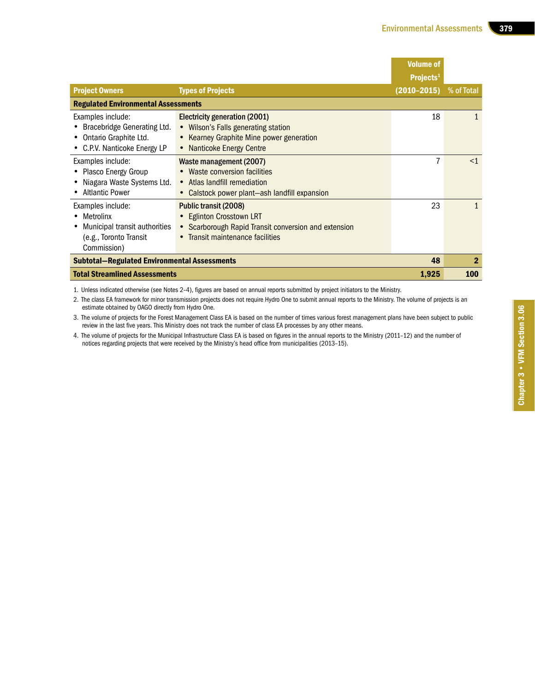|                                                     |                                                      | <b>Volume of</b>      |            |
|-----------------------------------------------------|------------------------------------------------------|-----------------------|------------|
|                                                     |                                                      | Projects <sup>1</sup> |            |
| <b>Project Owners</b>                               | <b>Types of Projects</b>                             | (2010–2015)           | % of Total |
| <b>Regulated Environmental Assessments</b>          |                                                      |                       |            |
| Examples include:                                   | Electricity generation (2001)                        | 18                    |            |
| • Bracebridge Generating Ltd.                       | • Wilson's Falls generating station                  |                       |            |
| • Ontario Graphite Ltd.                             | • Kearney Graphite Mine power generation             |                       |            |
| • C.P.V. Nanticoke Energy LP                        | • Nanticoke Energy Centre                            |                       |            |
| Examples include:                                   | Waste management (2007)                              | 7                     | $<$ 1      |
| • Plasco Energy Group                               | • Waste conversion facilities                        |                       |            |
| • Niagara Waste Systems Ltd.                        | • Atlas landfill remediation                         |                       |            |
| • Altlantic Power                                   | • Calstock power plant-ash landfill expansion        |                       |            |
| Examples include:                                   | Public transit (2008)                                | 23                    |            |
| • Metrolinx                                         | • Eglinton Crosstown LRT                             |                       |            |
| Municipal transit authorities                       | • Scarborough Rapid Transit conversion and extension |                       |            |
| (e.g., Toronto Transit                              | • Transit maintenance facilities                     |                       |            |
| Commission)                                         |                                                      |                       |            |
| <b>Subtotal-Regulated Environmental Assessments</b> |                                                      | 48                    | 2          |
| <b>Total Streamlined Assessments</b>                |                                                      | 1,925                 | <b>100</b> |

1. Unless indicated otherwise (see Notes 2–4), figures are based on annual reports submitted by project initiators to the Ministry.

2. The class EA framework for minor transmission projects does not require Hydro One to submit annual reports to the Ministry. The volume of projects is an estimate obtained by OAGO directly from Hydro One.

3. The volume of projects for the Forest Management Class EA is based on the number of times various forest management plans have been subject to public review in the last five years. This Ministry does not track the number of class EA processes by any other means.

4. The volume of projects for the Municipal Infrastructure Class EA is based on figures in the annual reports to the Ministry (2011–12) and the number of notices regarding projects that were received by the Ministry's head office from municipalities (2013–15).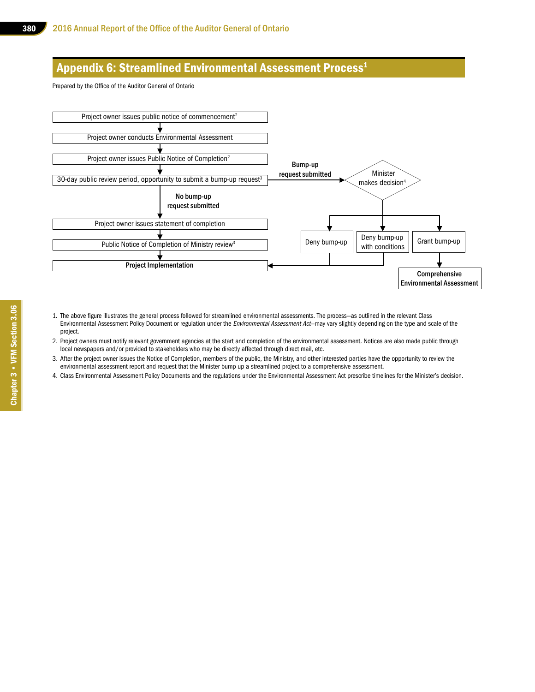#### Appendix 6: Streamlined Environmental Assessment Process<sup>1</sup>

Prepared by the Office of the Auditor General of Ontario



- 1. The above figure illustrates the general process followed for streamlined environmental assessments. The process—as outlined in the relevant Class Environmental Assessment Policy Document or regulation under the *Environmental Assessment Act*—may vary slightly depending on the type and scale of the project.
- 2. Project owners must notify relevant government agencies at the start and completion of the environmental assessment. Notices are also made public through local newspapers and/or provided to stakeholders who may be directly affected through direct mail, etc.
- 3. After the project owner issues the Notice of Completion, members of the public, the Ministry, and other interested parties have the opportunity to review the environmental assessment report and request that the Minister bump up a streamlined project to a comprehensive assessment.
- 4. Class Environmental Assessment Policy Documents and the regulations under the Environmental Assessment Act prescribe timelines for the Minister's decision.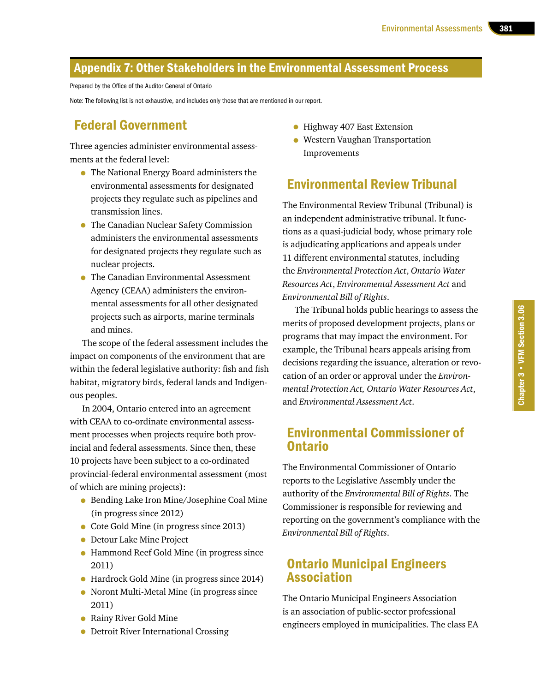# Appendix 7: Other Stakeholders in the Environmental Assessment Process

Prepared by the Office of the Auditor General of Ontario

Note: The following list is not exhaustive, and includes only those that are mentioned in our report.

# Federal Government

Three agencies administer environmental assessments at the federal level:

- The National Energy Board administers the environmental assessments for designated projects they regulate such as pipelines and transmission lines.
- The Canadian Nuclear Safety Commission administers the environmental assessments for designated projects they regulate such as nuclear projects.
- The Canadian Environmental Assessment Agency (CEAA) administers the environmental assessments for all other designated projects such as airports, marine terminals and mines.

The scope of the federal assessment includes the impact on components of the environment that are within the federal legislative authority: fish and fish habitat, migratory birds, federal lands and Indigenous peoples.

In 2004, Ontario entered into an agreement with CEAA to co-ordinate environmental assessment processes when projects require both provincial and federal assessments. Since then, these 10 projects have been subject to a co-ordinated provincial-federal environmental assessment (most of which are mining projects):

- Bending Lake Iron Mine/Josephine Coal Mine (in progress since 2012)
- Cote Gold Mine (in progress since 2013)
- Detour Lake Mine Project
- Hammond Reef Gold Mine (in progress since 2011)
- Hardrock Gold Mine (in progress since 2014)
- Noront Multi-Metal Mine (in progress since 2011)
- Rainy River Gold Mine
- Detroit River International Crossing
- Highway 407 East Extension
- Western Vaughan Transportation Improvements

# Environmental Review Tribunal

The Environmental Review Tribunal (Tribunal) is an independent administrative tribunal. It functions as a quasi-judicial body, whose primary role is adjudicating applications and appeals under 11 different environmental statutes, including the *Environmental Protection Act*, *Ontario Water Resources Act*, *Environmental Assessment Act* and *Environmental Bill of Rights*.

The Tribunal holds public hearings to assess the merits of proposed development projects, plans or programs that may impact the environment. For example, the Tribunal hears appeals arising from decisions regarding the issuance, alteration or revocation of an order or approval under the *Environmental Protection Act, Ontario Water Resources Act*, and *Environmental Assessment Act*.

# Environmental Commissioner of Ontario

The Environmental Commissioner of Ontario reports to the Legislative Assembly under the authority of the *Environmental Bill of Rights*. The Commissioner is responsible for reviewing and reporting on the government's compliance with the *Environmental Bill of Rights*.

# Ontario Municipal Engineers Association

The Ontario Municipal Engineers Association is an association of public-sector professional engineers employed in municipalities. The class EA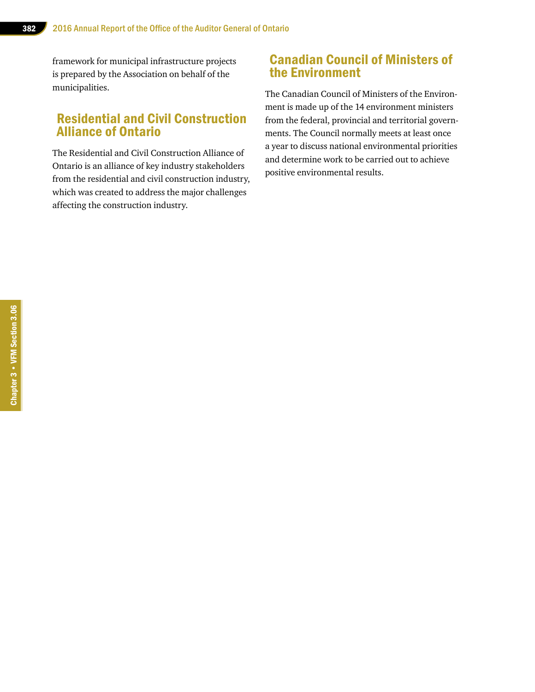framework for municipal infrastructure projects is prepared by the Association on behalf of the municipalities.

# Residential and Civil Construction Alliance of Ontario

The Residential and Civil Construction Alliance of Ontario is an alliance of key industry stakeholders from the residential and civil construction industry, which was created to address the major challenges affecting the construction industry.

# Canadian Council of Ministers of the Environment

The Canadian Council of Ministers of the Environment is made up of the 14 environment ministers from the federal, provincial and territorial governments. The Council normally meets at least once a year to discuss national environmental priorities and determine work to be carried out to achieve positive environmental results.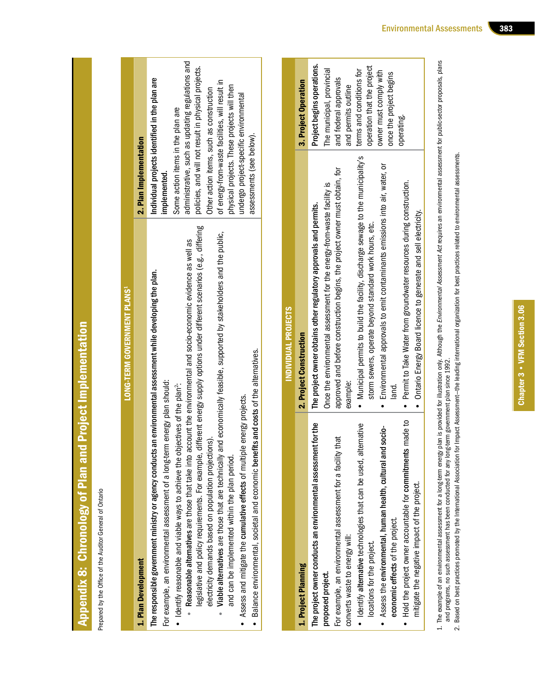Appendix 8: Chronology of Plan and Project Implementation Appendix 8: Chronology of Plan and Project Implementation

Prepared by the Office of the Auditor General of Ontario Prepared by the Office of the Auditor General of Ontario

| <b>LONG-TERM GOVERNMENT PLANS<sup>1</sup></b>                                                                                                                                                                                                                                                                                                                                                                                                                                                                                                                                                                                                                                                                                                                                                                                                                                                                                                                        |                                                                                                                                                                                                                                                                                                                                                                                                                                    |
|----------------------------------------------------------------------------------------------------------------------------------------------------------------------------------------------------------------------------------------------------------------------------------------------------------------------------------------------------------------------------------------------------------------------------------------------------------------------------------------------------------------------------------------------------------------------------------------------------------------------------------------------------------------------------------------------------------------------------------------------------------------------------------------------------------------------------------------------------------------------------------------------------------------------------------------------------------------------|------------------------------------------------------------------------------------------------------------------------------------------------------------------------------------------------------------------------------------------------------------------------------------------------------------------------------------------------------------------------------------------------------------------------------------|
| 1. Plan Development                                                                                                                                                                                                                                                                                                                                                                                                                                                                                                                                                                                                                                                                                                                                                                                                                                                                                                                                                  | 2. Plan Implementation                                                                                                                                                                                                                                                                                                                                                                                                             |
| different energy supply options under different scenarios (e.g., differing<br>Viable alternatives are those that are technically and economically feasible, supported by stakeholders and the public,<br>• Reasonable alternatives are those that take into account the environmental and socio-economic evidence as well as<br>an environmental assessment while developing the plan.<br>• Balance environmental, societal and economic benefits and costs of the alternatives.<br>For example, an environmental assessment of a long-term energy plan should:<br>• Identify reasonable and viable ways to achieve the objectives of the plan <sup>2</sup> :<br>. Assess and mitigate the cumulative effects of multiple energy projects.<br>electricity demands based on population projections).<br>The responsible government ministry or agency conducts<br>legislative and policy requirements. For example,<br>and can be implemented within the plan period. | administrative, such as updating regulations and<br>policies, and will not result in physical projects.<br>Individual projects identified in the plan are<br>of energy-from-waste facilities, will result in<br>physical projects. These projects will then<br>Other action items, such as construction<br>undergo project-specific environmental<br>Some action items in the plan are<br>assessments (see below).<br>implemented. |
|                                                                                                                                                                                                                                                                                                                                                                                                                                                                                                                                                                                                                                                                                                                                                                                                                                                                                                                                                                      |                                                                                                                                                                                                                                                                                                                                                                                                                                    |

|                                                                              | <b>INDIVIDUAL PROJECTS</b>                                                        |                            |
|------------------------------------------------------------------------------|-----------------------------------------------------------------------------------|----------------------------|
| 1. Project Planning                                                          | 2. Project Construction                                                           | 3. Project Operation       |
| The project owner conducts an environmental assessment for the               | The project owner obtains other regulatory approvals and permits.                 | Project begins operations. |
| proposed project.                                                            | Once the environmental assessment for the energy-from-waste facility is           | The municipal, provincial  |
| For example, an environmental assessment for a facility that                 | approved and before construction begins, the project owner must obtain, for       | and federal approvals      |
| converts waste to energy will:                                               | example:                                                                          | and permits outline        |
| • Identify alternative technologies that can be used, alternative            | • Municipal permits to build the facility, discharge sewage to the municipality's | terms and conditions for   |
| locations for the project.                                                   | storm sewers, operate beyond standard work hours, etc.                            | operation that the project |
| Assess the environmental, human health, cultural and socio-                  | Environmental approvals to emit contaminants emissions into air, water, or        | owner must comply with     |
| economic effects of the project.                                             |                                                                                   | once the project begins    |
| nade to<br>Hold the project owner accountable for commitments m<br>$\bullet$ | Permit to Take Water from groundwater resources during construction.              | operating.                 |
| mitigate the negative impact of the project.                                 | • Ontario Energy Board licence to generate and sell electricity.                  |                            |

1. The example of an environmental assessment for a long-term energy plan is provided for illustration only. Although the *Environmental Assessment Act* requires an environmental assessment for public-sector proposals, pla 1. The example of an environmental assessment for a long-term energy plan is provided for illustration only. Although the Environmental Assessment assessment for public-sector proposals, plans and programs, no such assessment has been conducted for any long-term government plan since 1992.

2. Based on best practices promoted by the International Association for Impact Assessment-the leading international organization for best practices related to environmental assessments. 2. Based on best practices promoted by the International Association for Impact Assessment—the leading international organization for best practices related to environmental assessments.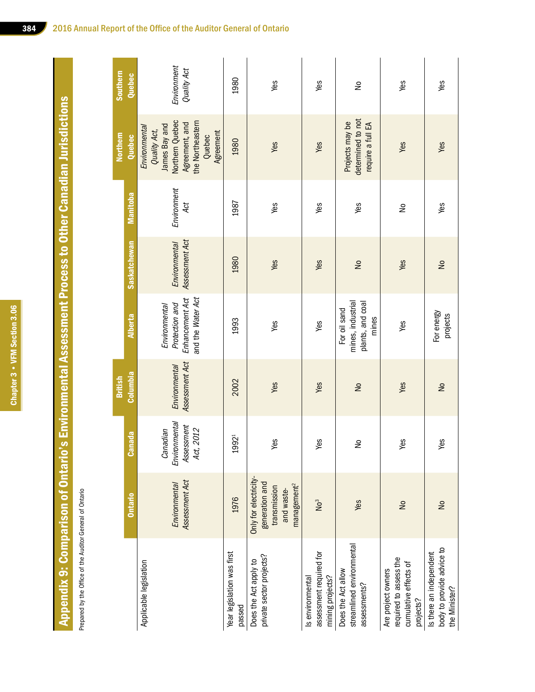Chapter 3 • VFM Section 3.06 Chapter 3 • VFM Section 3.06

Appendix 9: Comparison of Ontario's Environmental Assessment Process to Other Canadian Jurisdictions Appendix 9: Comparison of Ontario's Environmental Assessment Process to Other Canadian Jurisdictions

Prepared by the Office of the Auditor General of Ontario Prepared by the Office of the Auditor General of Ontario

|                                                                                    |                                                                                                  |                                                      | <b>British</b>                         |                                                                         |                                 |                    | <b>Northern</b>                                                                                                                | Southern                   |
|------------------------------------------------------------------------------------|--------------------------------------------------------------------------------------------------|------------------------------------------------------|----------------------------------------|-------------------------------------------------------------------------|---------------------------------|--------------------|--------------------------------------------------------------------------------------------------------------------------------|----------------------------|
|                                                                                    | <b>Ontario</b>                                                                                   | <b>Canada</b>                                        | Columbia                               | <b>Alberta</b>                                                          | <b>Saskatchewan</b>             | <b>Manitoba</b>    | Quebec                                                                                                                         | Quebec                     |
| Applicable legislation                                                             | Assessment Act<br>Environmental                                                                  | Environmental<br>Assessment<br>Canadian<br>Act, 2012 | Assessment Act<br><b>Environmental</b> | Enhancement Act<br>and the Water Act<br>Protection and<br>Environmental | Assessment Act<br>Environmental | Environment<br>4ct | Northern Quebec<br>the Northeastern<br>Agreement, and<br>James Bay and<br>Environmental<br>Quality Act,<br>Agreement<br>Quebec | Environment<br>Quality Act |
| Year legislation was first<br>passed                                               | 1976                                                                                             | 19921                                                | 2002                                   | 1993                                                                    | 1980                            | 1987               | 1980                                                                                                                           | 1980                       |
| private sector projects?<br>Does the Act apply to                                  | Only for electricity-<br>generation and<br>management <sup>2</sup><br>transmission<br>and waste- | Yes                                                  | Yes                                    | Yes                                                                     | Yes                             | Yes                | Yes                                                                                                                            | Yes                        |
| assessment required for<br>mining projects?<br>Is environmental                    | $\sum_{i=1}^{3}$                                                                                 | Yes                                                  | Yes                                    | Yes                                                                     | Yes                             | Yes                | Yes                                                                                                                            | Yes                        |
| streamlined environmental<br>Does the Act allow<br>assessments?                    | Yes                                                                                              | ş                                                    | $\geq$                                 | mines, industrial<br>plants, and coal<br>For oil sand<br>mines          | $\frac{1}{2}$                   | Yes                | determined to not<br>Projects may be<br>require a full EA                                                                      | ş                          |
| required to assess the<br>cumulative effects of<br>Are project owners<br>projects? | Ş                                                                                                | Yes                                                  | Yes                                    | Yes                                                                     | Yes                             | å                  | Yes                                                                                                                            | Yes                        |
| body to provide advice to<br>Is there an independent<br>the Minister?              | $\frac{1}{2}$                                                                                    | Yes                                                  | $\geq$                                 | For energy<br>projects                                                  | $\frac{1}{2}$                   | Yes                | Yes                                                                                                                            | Yes                        |